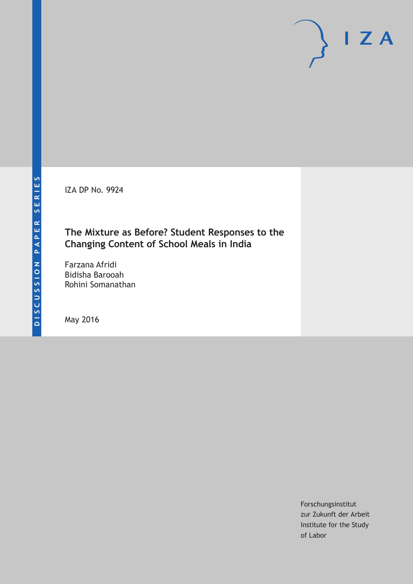IZA DP No. 9924

# **The Mixture as Before? Student Responses to the Changing Content of School Meals in India**

Farzana Afridi Bidisha Barooah Rohini Somanathan

May 2016

Forschungsinstitut zur Zukunft der Arbeit Institute for the Study of Labor

 $I Z A$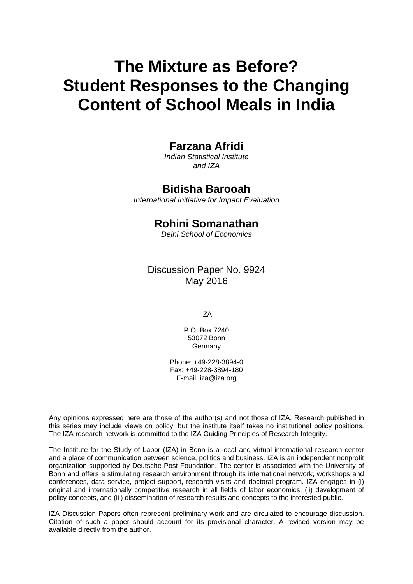# **The Mixture as Before? Student Responses to the Changing Content of School Meals in India**

# **Farzana Afridi**

*Indian Statistical Institute and IZA* 

# **Bidisha Barooah**

*International Initiative for Impact Evaluation* 

### **Rohini Somanathan**

*Delhi School of Economics*

Discussion Paper No. 9924 May 2016

IZA

P.O. Box 7240 53072 Bonn Germany

Phone: +49-228-3894-0 Fax: +49-228-3894-180 E-mail: iza@iza.org

Any opinions expressed here are those of the author(s) and not those of IZA. Research published in this series may include views on policy, but the institute itself takes no institutional policy positions. The IZA research network is committed to the IZA Guiding Principles of Research Integrity.

The Institute for the Study of Labor (IZA) in Bonn is a local and virtual international research center and a place of communication between science, politics and business. IZA is an independent nonprofit organization supported by Deutsche Post Foundation. The center is associated with the University of Bonn and offers a stimulating research environment through its international network, workshops and conferences, data service, project support, research visits and doctoral program. IZA engages in (i) original and internationally competitive research in all fields of labor economics, (ii) development of policy concepts, and (iii) dissemination of research results and concepts to the interested public.

IZA Discussion Papers often represent preliminary work and are circulated to encourage discussion. Citation of such a paper should account for its provisional character. A revised version may be available directly from the author.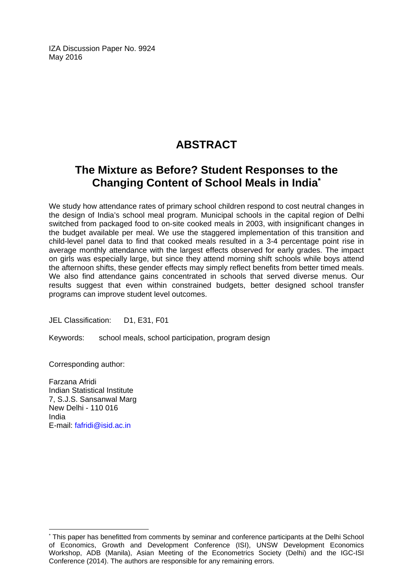IZA Discussion Paper No. 9924 May 2016

# **ABSTRACT**

# **The Mixture as Before? Student Responses to the Changing Content of School Meals in India\***

We study how attendance rates of primary school children respond to cost neutral changes in the design of India's school meal program. Municipal schools in the capital region of Delhi switched from packaged food to on-site cooked meals in 2003, with insignificant changes in the budget available per meal. We use the staggered implementation of this transition and child-level panel data to find that cooked meals resulted in a 3-4 percentage point rise in average monthly attendance with the largest effects observed for early grades. The impact on girls was especially large, but since they attend morning shift schools while boys attend the afternoon shifts, these gender effects may simply reflect benefits from better timed meals. We also find attendance gains concentrated in schools that served diverse menus. Our results suggest that even within constrained budgets, better designed school transfer programs can improve student level outcomes.

JEL Classification: D1, E31, F01

Keywords: school meals, school participation, program design

Corresponding author:

Farzana Afridi Indian Statistical Institute 7, S.J.S. Sansanwal Marg New Delhi - 110 016 India E-mail: fafridi@isid.ac.in

 $\overline{a}$ 

<sup>\*</sup> This paper has benefitted from comments by seminar and conference participants at the Delhi School of Economics, Growth and Development Conference (ISI), UNSW Development Economics Workshop, ADB (Manila), Asian Meeting of the Econometrics Society (Delhi) and the IGC-ISI Conference (2014). The authors are responsible for any remaining errors.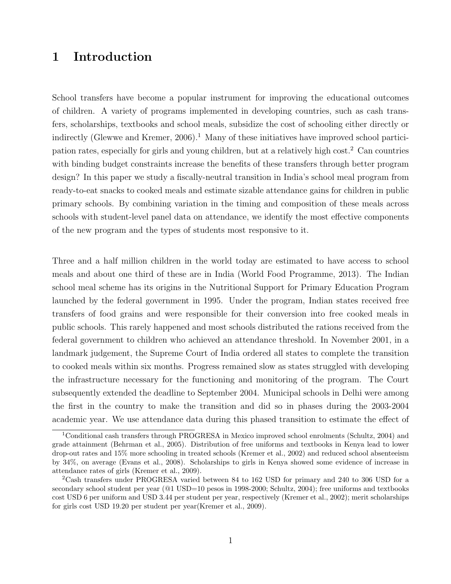### 1 Introduction

School transfers have become a popular instrument for improving the educational outcomes of children. A variety of programs implemented in developing countries, such as cash transfers, scholarships, textbooks and school meals, subsidize the cost of schooling either directly or indirectly (Glewwe and Kremer,  $2006$ ).<sup>1</sup> Many of these initiatives have improved school participation rates, especially for girls and young children, but at a relatively high cost.<sup>2</sup> Can countries with binding budget constraints increase the benefits of these transfers through better program design? In this paper we study a fiscally-neutral transition in India's school meal program from ready-to-eat snacks to cooked meals and estimate sizable attendance gains for children in public primary schools. By combining variation in the timing and composition of these meals across schools with student-level panel data on attendance, we identify the most effective components of the new program and the types of students most responsive to it.

Three and a half million children in the world today are estimated to have access to school meals and about one third of these are in India (World Food Programme, 2013). The Indian school meal scheme has its origins in the Nutritional Support for Primary Education Program launched by the federal government in 1995. Under the program, Indian states received free transfers of food grains and were responsible for their conversion into free cooked meals in public schools. This rarely happened and most schools distributed the rations received from the federal government to children who achieved an attendance threshold. In November 2001, in a landmark judgement, the Supreme Court of India ordered all states to complete the transition to cooked meals within six months. Progress remained slow as states struggled with developing the infrastructure necessary for the functioning and monitoring of the program. The Court subsequently extended the deadline to September 2004. Municipal schools in Delhi were among the first in the country to make the transition and did so in phases during the 2003-2004 academic year. We use attendance data during this phased transition to estimate the effect of

<sup>1</sup>Conditional cash transfers through PROGRESA in Mexico improved school enrolments (Schultz, 2004) and grade attainment (Behrman et al., 2005). Distribution of free uniforms and textbooks in Kenya lead to lower drop-out rates and 15% more schooling in treated schools (Kremer et al., 2002) and reduced school absenteeism by 34%, on average (Evans et al., 2008). Scholarships to girls in Kenya showed some evidence of increase in attendance rates of girls (Kremer et al., 2009).

<sup>2</sup>Cash transfers under PROGRESA varied between 84 to 162 USD for primary and 240 to 306 USD for a secondary school student per year ( $@1$  USD=10 pesos in 1998-2000; Schultz, 2004); free uniforms and textbooks cost USD 6 per uniform and USD 3.44 per student per year, respectively (Kremer et al., 2002); merit scholarships for girls cost USD 19.20 per student per year(Kremer et al., 2009).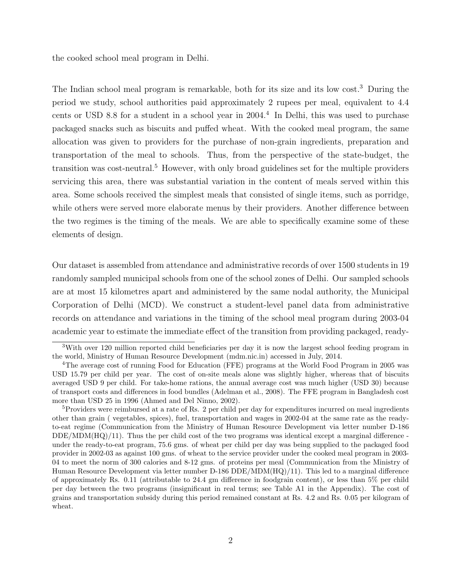the cooked school meal program in Delhi.

The Indian school meal program is remarkable, both for its size and its low cost.<sup>3</sup> During the period we study, school authorities paid approximately 2 rupees per meal, equivalent to 4.4 cents or USD 8.8 for a student in a school year in  $2004<sup>4</sup>$  In Delhi, this was used to purchase packaged snacks such as biscuits and puffed wheat. With the cooked meal program, the same allocation was given to providers for the purchase of non-grain ingredients, preparation and transportation of the meal to schools. Thus, from the perspective of the state-budget, the transition was cost-neutral.<sup>5</sup> However, with only broad guidelines set for the multiple providers servicing this area, there was substantial variation in the content of meals served within this area. Some schools received the simplest meals that consisted of single items, such as porridge, while others were served more elaborate menus by their providers. Another difference between the two regimes is the timing of the meals. We are able to specifically examine some of these elements of design.

Our dataset is assembled from attendance and administrative records of over 1500 students in 19 randomly sampled municipal schools from one of the school zones of Delhi. Our sampled schools are at most 15 kilometres apart and administered by the same nodal authority, the Municipal Corporation of Delhi (MCD). We construct a student-level panel data from administrative records on attendance and variations in the timing of the school meal program during 2003-04 academic year to estimate the immediate effect of the transition from providing packaged, ready-

<sup>&</sup>lt;sup>3</sup>With over 120 million reported child beneficiaries per day it is now the largest school feeding program in the world, Ministry of Human Resource Development (mdm.nic.in) accessed in July, 2014.

<sup>4</sup>The average cost of running Food for Education (FFE) programs at the World Food Program in 2005 was USD 15.79 per child per year. The cost of on-site meals alone was slightly higher, whereas that of biscuits averaged USD 9 per child. For take-home rations, the annual average cost was much higher (USD 30) because of transport costs and differences in food bundles (Adelman et al., 2008). The FFE program in Bangladesh cost more than USD 25 in 1996 (Ahmed and Del Ninno, 2002).

<sup>5</sup>Providers were reimbursed at a rate of Rs. 2 per child per day for expenditures incurred on meal ingredients other than grain ( vegetables, spices), fuel, transportation and wages in 2002-04 at the same rate as the readyto-eat regime (Communication from the Ministry of Human Resource Development via letter number D-186  $DDE/MDM(HQ)/11$ . Thus the per child cost of the two programs was identical except a marginal difference under the ready-to-eat program, 75.6 gms. of wheat per child per day was being supplied to the packaged food provider in 2002-03 as against 100 gms. of wheat to the service provider under the cooked meal program in 2003- 04 to meet the norm of 300 calories and 8-12 gms. of proteins per meal (Communication from the Ministry of Human Resource Development via letter number D-186 DDE/MDM(HQ)/11). This led to a marginal difference of approximately Rs. 0.11 (attributable to 24.4 gm difference in foodgrain content), or less than 5% per child per day between the two programs (insignificant in real terms; see Table A1 in the Appendix). The cost of grains and transportation subsidy during this period remained constant at Rs. 4.2 and Rs. 0.05 per kilogram of wheat.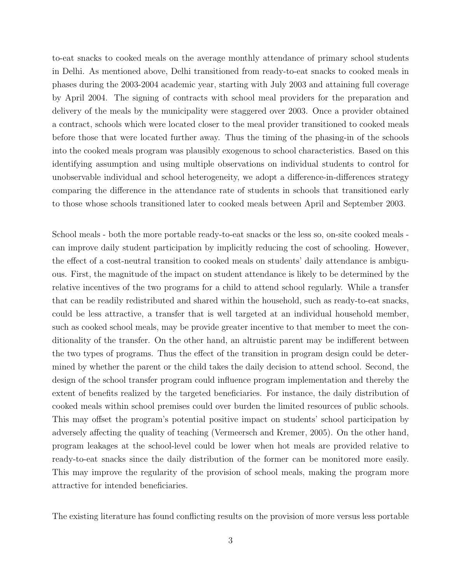to-eat snacks to cooked meals on the average monthly attendance of primary school students in Delhi. As mentioned above, Delhi transitioned from ready-to-eat snacks to cooked meals in phases during the 2003-2004 academic year, starting with July 2003 and attaining full coverage by April 2004. The signing of contracts with school meal providers for the preparation and delivery of the meals by the municipality were staggered over 2003. Once a provider obtained a contract, schools which were located closer to the meal provider transitioned to cooked meals before those that were located further away. Thus the timing of the phasing-in of the schools into the cooked meals program was plausibly exogenous to school characteristics. Based on this identifying assumption and using multiple observations on individual students to control for unobservable individual and school heterogeneity, we adopt a difference-in-differences strategy comparing the difference in the attendance rate of students in schools that transitioned early to those whose schools transitioned later to cooked meals between April and September 2003.

School meals - both the more portable ready-to-eat snacks or the less so, on-site cooked meals can improve daily student participation by implicitly reducing the cost of schooling. However, the effect of a cost-neutral transition to cooked meals on students' daily attendance is ambiguous. First, the magnitude of the impact on student attendance is likely to be determined by the relative incentives of the two programs for a child to attend school regularly. While a transfer that can be readily redistributed and shared within the household, such as ready-to-eat snacks, could be less attractive, a transfer that is well targeted at an individual household member, such as cooked school meals, may be provide greater incentive to that member to meet the conditionality of the transfer. On the other hand, an altruistic parent may be indifferent between the two types of programs. Thus the effect of the transition in program design could be determined by whether the parent or the child takes the daily decision to attend school. Second, the design of the school transfer program could influence program implementation and thereby the extent of benefits realized by the targeted beneficiaries. For instance, the daily distribution of cooked meals within school premises could over burden the limited resources of public schools. This may offset the program's potential positive impact on students' school participation by adversely affecting the quality of teaching (Vermeersch and Kremer, 2005). On the other hand, program leakages at the school-level could be lower when hot meals are provided relative to ready-to-eat snacks since the daily distribution of the former can be monitored more easily. This may improve the regularity of the provision of school meals, making the program more attractive for intended beneficiaries.

The existing literature has found conflicting results on the provision of more versus less portable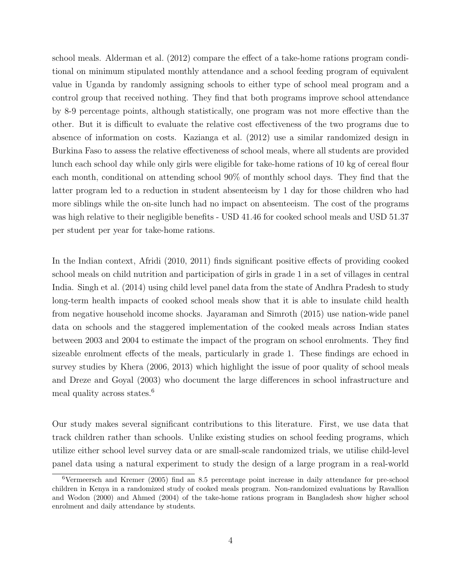school meals. Alderman et al. (2012) compare the effect of a take-home rations program conditional on minimum stipulated monthly attendance and a school feeding program of equivalent value in Uganda by randomly assigning schools to either type of school meal program and a control group that received nothing. They find that both programs improve school attendance by 8-9 percentage points, although statistically, one program was not more effective than the other. But it is difficult to evaluate the relative cost effectiveness of the two programs due to absence of information on costs. Kazianga et al. (2012) use a similar randomized design in Burkina Faso to assess the relative effectiveness of school meals, where all students are provided lunch each school day while only girls were eligible for take-home rations of 10 kg of cereal flour each month, conditional on attending school 90% of monthly school days. They find that the latter program led to a reduction in student absenteeism by 1 day for those children who had more siblings while the on-site lunch had no impact on absenteeism. The cost of the programs was high relative to their negligible benefits - USD 41.46 for cooked school meals and USD 51.37 per student per year for take-home rations.

In the Indian context, Afridi (2010, 2011) finds significant positive effects of providing cooked school meals on child nutrition and participation of girls in grade 1 in a set of villages in central India. Singh et al. (2014) using child level panel data from the state of Andhra Pradesh to study long-term health impacts of cooked school meals show that it is able to insulate child health from negative household income shocks. Jayaraman and Simroth (2015) use nation-wide panel data on schools and the staggered implementation of the cooked meals across Indian states between 2003 and 2004 to estimate the impact of the program on school enrolments. They find sizeable enrolment effects of the meals, particularly in grade 1. These findings are echoed in survey studies by Khera (2006, 2013) which highlight the issue of poor quality of school meals and Dreze and Goyal (2003) who document the large differences in school infrastructure and meal quality across states.<sup>6</sup>

Our study makes several significant contributions to this literature. First, we use data that track children rather than schools. Unlike existing studies on school feeding programs, which utilize either school level survey data or are small-scale randomized trials, we utilise child-level panel data using a natural experiment to study the design of a large program in a real-world

<sup>6</sup>Vermeersch and Kremer (2005) find an 8.5 percentage point increase in daily attendance for pre-school children in Kenya in a randomized study of cooked meals program. Non-randomized evaluations by Ravallion and Wodon (2000) and Ahmed (2004) of the take-home rations program in Bangladesh show higher school enrolment and daily attendance by students.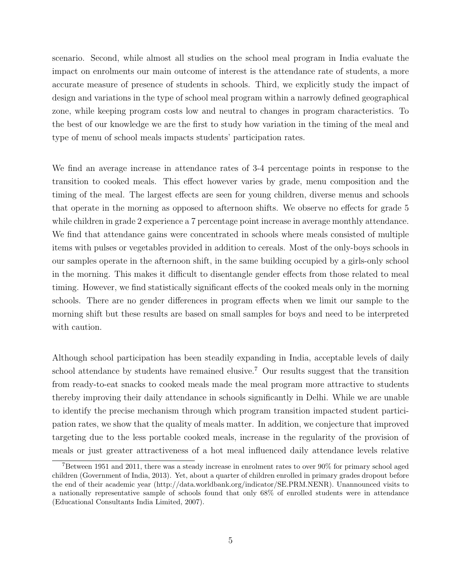scenario. Second, while almost all studies on the school meal program in India evaluate the impact on enrolments our main outcome of interest is the attendance rate of students, a more accurate measure of presence of students in schools. Third, we explicitly study the impact of design and variations in the type of school meal program within a narrowly defined geographical zone, while keeping program costs low and neutral to changes in program characteristics. To the best of our knowledge we are the first to study how variation in the timing of the meal and type of menu of school meals impacts students' participation rates.

We find an average increase in attendance rates of 3-4 percentage points in response to the transition to cooked meals. This effect however varies by grade, menu composition and the timing of the meal. The largest effects are seen for young children, diverse menus and schools that operate in the morning as opposed to afternoon shifts. We observe no effects for grade 5 while children in grade 2 experience a 7 percentage point increase in average monthly attendance. We find that attendance gains were concentrated in schools where meals consisted of multiple items with pulses or vegetables provided in addition to cereals. Most of the only-boys schools in our samples operate in the afternoon shift, in the same building occupied by a girls-only school in the morning. This makes it difficult to disentangle gender effects from those related to meal timing. However, we find statistically significant effects of the cooked meals only in the morning schools. There are no gender differences in program effects when we limit our sample to the morning shift but these results are based on small samples for boys and need to be interpreted with caution.

Although school participation has been steadily expanding in India, acceptable levels of daily school attendance by students have remained elusive.<sup>7</sup> Our results suggest that the transition from ready-to-eat snacks to cooked meals made the meal program more attractive to students thereby improving their daily attendance in schools significantly in Delhi. While we are unable to identify the precise mechanism through which program transition impacted student participation rates, we show that the quality of meals matter. In addition, we conjecture that improved targeting due to the less portable cooked meals, increase in the regularity of the provision of meals or just greater attractiveness of a hot meal influenced daily attendance levels relative

<sup>7</sup>Between 1951 and 2011, there was a steady increase in enrolment rates to over 90% for primary school aged children (Government of India, 2013). Yet, about a quarter of children enrolled in primary grades dropout before the end of their academic year (http://data.worldbank.org/indicator/SE.PRM.NENR). Unannounced visits to a nationally representative sample of schools found that only 68% of enrolled students were in attendance (Educational Consultants India Limited, 2007).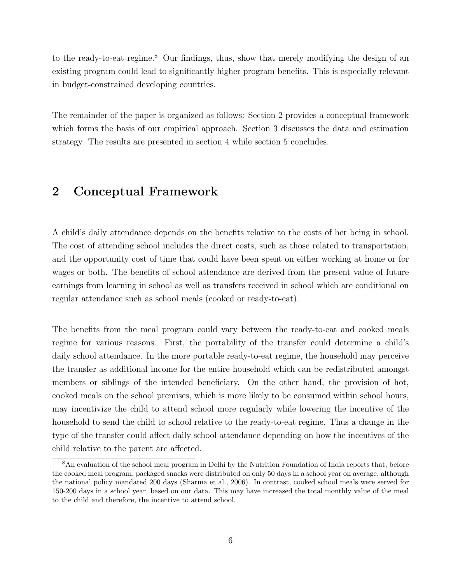to the ready-to-eat regime.<sup>8</sup> Our findings, thus, show that merely modifying the design of an existing program could lead to significantly higher program benefits. This is especially relevant in budget-constrained developing countries.

The remainder of the paper is organized as follows: Section 2 provides a conceptual framework which forms the basis of our empirical approach. Section 3 discusses the data and estimation strategy. The results are presented in section 4 while section 5 concludes.

# 2 Conceptual Framework

A child's daily attendance depends on the benefits relative to the costs of her being in school. The cost of attending school includes the direct costs, such as those related to transportation, and the opportunity cost of time that could have been spent on either working at home or for wages or both. The benefits of school attendance are derived from the present value of future earnings from learning in school as well as transfers received in school which are conditional on regular attendance such as school meals (cooked or ready-to-eat).

The benefits from the meal program could vary between the ready-to-eat and cooked meals regime for various reasons. First, the portability of the transfer could determine a child's daily school attendance. In the more portable ready-to-eat regime, the household may perceive the transfer as additional income for the entire household which can be redistributed amongst members or siblings of the intended beneficiary. On the other hand, the provision of hot, cooked meals on the school premises, which is more likely to be consumed within school hours, may incentivize the child to attend school more regularly while lowering the incentive of the household to send the child to school relative to the ready-to-eat regime. Thus a change in the type of the transfer could affect daily school attendance depending on how the incentives of the child relative to the parent are affected.

<sup>8</sup>An evaluation of the school meal program in Delhi by the Nutrition Foundation of India reports that, before the cooked meal program, packaged snacks were distributed on only 50 days in a school year on average, although the national policy mandated 200 days (Sharma et al., 2006). In contrast, cooked school meals were served for 150-200 days in a school year, based on our data. This may have increased the total monthly value of the meal to the child and therefore, the incentive to attend school.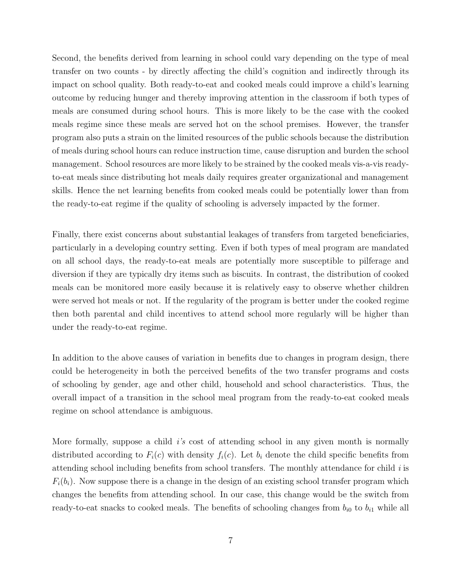Second, the benefits derived from learning in school could vary depending on the type of meal transfer on two counts - by directly affecting the child's cognition and indirectly through its impact on school quality. Both ready-to-eat and cooked meals could improve a child's learning outcome by reducing hunger and thereby improving attention in the classroom if both types of meals are consumed during school hours. This is more likely to be the case with the cooked meals regime since these meals are served hot on the school premises. However, the transfer program also puts a strain on the limited resources of the public schools because the distribution of meals during school hours can reduce instruction time, cause disruption and burden the school management. School resources are more likely to be strained by the cooked meals vis-a-vis readyto-eat meals since distributing hot meals daily requires greater organizational and management skills. Hence the net learning benefits from cooked meals could be potentially lower than from the ready-to-eat regime if the quality of schooling is adversely impacted by the former.

Finally, there exist concerns about substantial leakages of transfers from targeted beneficiaries, particularly in a developing country setting. Even if both types of meal program are mandated on all school days, the ready-to-eat meals are potentially more susceptible to pilferage and diversion if they are typically dry items such as biscuits. In contrast, the distribution of cooked meals can be monitored more easily because it is relatively easy to observe whether children were served hot meals or not. If the regularity of the program is better under the cooked regime then both parental and child incentives to attend school more regularly will be higher than under the ready-to-eat regime.

In addition to the above causes of variation in benefits due to changes in program design, there could be heterogeneity in both the perceived benefits of the two transfer programs and costs of schooling by gender, age and other child, household and school characteristics. Thus, the overall impact of a transition in the school meal program from the ready-to-eat cooked meals regime on school attendance is ambiguous.

More formally, suppose a child  $i$ 's cost of attending school in any given month is normally distributed according to  $F_i(c)$  with density  $f_i(c)$ . Let  $b_i$  denote the child specific benefits from attending school including benefits from school transfers. The monthly attendance for child  $i$  is  $F_i(b_i)$ . Now suppose there is a change in the design of an existing school transfer program which changes the benefits from attending school. In our case, this change would be the switch from ready-to-eat snacks to cooked meals. The benefits of schooling changes from  $b_{i0}$  to  $b_{i1}$  while all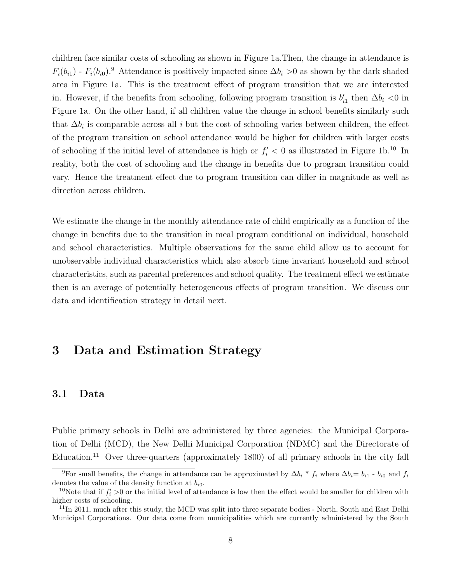children face similar costs of schooling as shown in Figure 1a.Then, the change in attendance is  $F_i(b_{i1})$  -  $F_i(b_{i0})$ .<sup>9</sup> Attendance is positively impacted since  $\Delta b_i > 0$  as shown by the dark shaded area in Figure 1a. This is the treatment effect of program transition that we are interested in. However, if the benefits from schooling, following program transition is  $b'_{i1}$  then  $\Delta b_i < 0$  in Figure 1a. On the other hand, if all children value the change in school benefits similarly such that  $\Delta b_i$  is comparable across all i but the cost of schooling varies between children, the effect of the program transition on school attendance would be higher for children with larger costs of schooling if the initial level of attendance is high or  $f_i' < 0$  as illustrated in Figure 1b.<sup>10</sup> In reality, both the cost of schooling and the change in benefits due to program transition could vary. Hence the treatment effect due to program transition can differ in magnitude as well as direction across children.

We estimate the change in the monthly attendance rate of child empirically as a function of the change in benefits due to the transition in meal program conditional on individual, household and school characteristics. Multiple observations for the same child allow us to account for unobservable individual characteristics which also absorb time invariant household and school characteristics, such as parental preferences and school quality. The treatment effect we estimate then is an average of potentially heterogeneous effects of program transition. We discuss our data and identification strategy in detail next.

# 3 Data and Estimation Strategy

#### 3.1 Data

Public primary schools in Delhi are administered by three agencies: the Municipal Corporation of Delhi (MCD), the New Delhi Municipal Corporation (NDMC) and the Directorate of Education.<sup>11</sup> Over three-quarters (approximately 1800) of all primary schools in the city fall

<sup>&</sup>lt;sup>9</sup>For small benefits, the change in attendance can be approximated by  $\Delta b_i * f_i$  where  $\Delta b_i = b_{i1} - b_{i0}$  and  $f_i$ denotes the value of the density function at  $b_{i0}$ .

<sup>&</sup>lt;sup>10</sup>Note that if  $f_i' > 0$  or the initial level of attendance is low then the effect would be smaller for children with higher costs of schooling.

 $11$ In 2011, much after this study, the MCD was split into three separate bodies - North, South and East Delhi Municipal Corporations. Our data come from municipalities which are currently administered by the South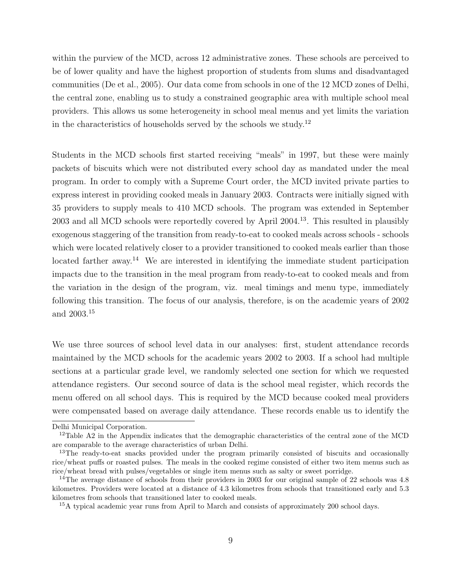within the purview of the MCD, across 12 administrative zones. These schools are perceived to be of lower quality and have the highest proportion of students from slums and disadvantaged communities (De et al., 2005). Our data come from schools in one of the 12 MCD zones of Delhi, the central zone, enabling us to study a constrained geographic area with multiple school meal providers. This allows us some heterogeneity in school meal menus and yet limits the variation in the characteristics of households served by the schools we study.<sup>12</sup>

Students in the MCD schools first started receiving "meals" in 1997, but these were mainly packets of biscuits which were not distributed every school day as mandated under the meal program. In order to comply with a Supreme Court order, the MCD invited private parties to express interest in providing cooked meals in January 2003. Contracts were initially signed with 35 providers to supply meals to 410 MCD schools. The program was extended in September 2003 and all MCD schools were reportedly covered by April 2004.<sup>13</sup>. This resulted in plausibly exogenous staggering of the transition from ready-to-eat to cooked meals across schools - schools which were located relatively closer to a provider transitioned to cooked meals earlier than those located farther away.<sup>14</sup> We are interested in identifying the immediate student participation impacts due to the transition in the meal program from ready-to-eat to cooked meals and from the variation in the design of the program, viz. meal timings and menu type, immediately following this transition. The focus of our analysis, therefore, is on the academic years of 2002 and 2003.<sup>15</sup>

We use three sources of school level data in our analyses: first, student attendance records maintained by the MCD schools for the academic years 2002 to 2003. If a school had multiple sections at a particular grade level, we randomly selected one section for which we requested attendance registers. Our second source of data is the school meal register, which records the menu offered on all school days. This is required by the MCD because cooked meal providers were compensated based on average daily attendance. These records enable us to identify the

Delhi Municipal Corporation.

<sup>&</sup>lt;sup>12</sup>Table A2 in the Appendix indicates that the demographic characteristics of the central zone of the MCD are comparable to the average characteristics of urban Delhi.

<sup>&</sup>lt;sup>13</sup>The ready-to-eat snacks provided under the program primarily consisted of biscuits and occasionally rice/wheat puffs or roasted pulses. The meals in the cooked regime consisted of either two item menus such as rice/wheat bread with pulses/vegetables or single item menus such as salty or sweet porridge.

<sup>&</sup>lt;sup>14</sup>The average distance of schools from their providers in 2003 for our original sample of 22 schools was 4.8 kilometres. Providers were located at a distance of 4.3 kilometres from schools that transitioned early and 5.3 kilometres from schools that transitioned later to cooked meals.

<sup>&</sup>lt;sup>15</sup>A typical academic year runs from April to March and consists of approximately 200 school days.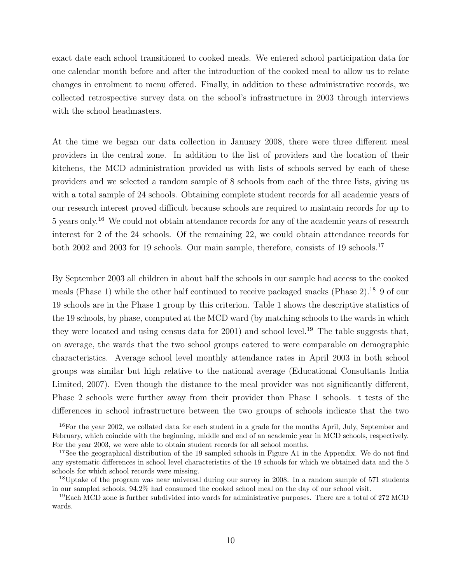exact date each school transitioned to cooked meals. We entered school participation data for one calendar month before and after the introduction of the cooked meal to allow us to relate changes in enrolment to menu offered. Finally, in addition to these administrative records, we collected retrospective survey data on the school's infrastructure in 2003 through interviews with the school headmasters.

At the time we began our data collection in January 2008, there were three different meal providers in the central zone. In addition to the list of providers and the location of their kitchens, the MCD administration provided us with lists of schools served by each of these providers and we selected a random sample of 8 schools from each of the three lists, giving us with a total sample of 24 schools. Obtaining complete student records for all academic years of our research interest proved difficult because schools are required to maintain records for up to 5 years only.<sup>16</sup> We could not obtain attendance records for any of the academic years of research interest for 2 of the 24 schools. Of the remaining 22, we could obtain attendance records for both 2002 and 2003 for 19 schools. Our main sample, therefore, consists of 19 schools.<sup>17</sup>

By September 2003 all children in about half the schools in our sample had access to the cooked meals (Phase 1) while the other half continued to receive packaged snacks (Phase 2).<sup>18</sup> 9 of our 19 schools are in the Phase 1 group by this criterion. Table 1 shows the descriptive statistics of the 19 schools, by phase, computed at the MCD ward (by matching schools to the wards in which they were located and using census data for 2001) and school level.<sup>19</sup> The table suggests that, on average, the wards that the two school groups catered to were comparable on demographic characteristics. Average school level monthly attendance rates in April 2003 in both school groups was similar but high relative to the national average (Educational Consultants India Limited, 2007). Even though the distance to the meal provider was not significantly different, Phase 2 schools were further away from their provider than Phase 1 schools. t tests of the differences in school infrastructure between the two groups of schools indicate that the two

 $16$ For the year 2002, we collated data for each student in a grade for the months April, July, September and February, which coincide with the beginning, middle and end of an academic year in MCD schools, respectively. For the year 2003, we were able to obtain student records for all school months.

<sup>&</sup>lt;sup>17</sup>See the geographical distribution of the 19 sampled schools in Figure A1 in the Appendix. We do not find any systematic differences in school level characteristics of the 19 schools for which we obtained data and the 5 schools for which school records were missing.

<sup>&</sup>lt;sup>18</sup>Uptake of the program was near universal during our survey in 2008. In a random sample of 571 students in our sampled schools, 94.2% had consumed the cooked school meal on the day of our school visit.

 $19$ Each MCD zone is further subdivided into wards for administrative purposes. There are a total of 272 MCD wards.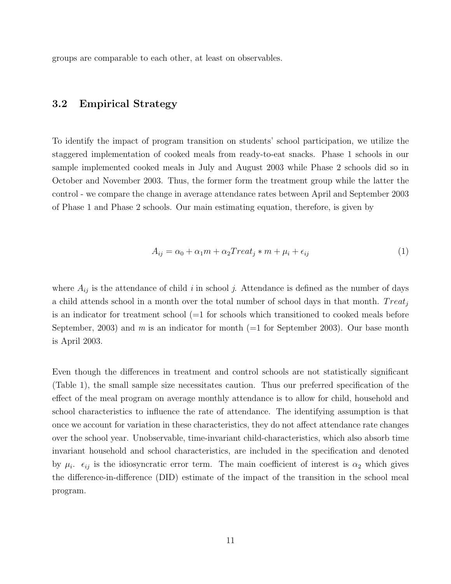groups are comparable to each other, at least on observables.

#### 3.2 Empirical Strategy

To identify the impact of program transition on students' school participation, we utilize the staggered implementation of cooked meals from ready-to-eat snacks. Phase 1 schools in our sample implemented cooked meals in July and August 2003 while Phase 2 schools did so in October and November 2003. Thus, the former form the treatment group while the latter the control - we compare the change in average attendance rates between April and September 2003 of Phase 1 and Phase 2 schools. Our main estimating equation, therefore, is given by

$$
A_{ij} = \alpha_0 + \alpha_1 m + \alpha_2 Treat_j * m + \mu_i + \epsilon_{ij}
$$
\n<sup>(1)</sup>

where  $A_{ij}$  is the attendance of child i in school j. Attendance is defined as the number of days a child attends school in a month over the total number of school days in that month.  $Treat_i$ is an indicator for treatment school  $(=1$  for schools which transitioned to cooked meals before September, 2003) and m is an indicator for month  $(=1$  for September 2003). Our base month is April 2003.

Even though the differences in treatment and control schools are not statistically significant (Table 1), the small sample size necessitates caution. Thus our preferred specification of the effect of the meal program on average monthly attendance is to allow for child, household and school characteristics to influence the rate of attendance. The identifying assumption is that once we account for variation in these characteristics, they do not affect attendance rate changes over the school year. Unobservable, time-invariant child-characteristics, which also absorb time invariant household and school characteristics, are included in the specification and denoted by  $\mu_i$ .  $\epsilon_{ij}$  is the idiosyncratic error term. The main coefficient of interest is  $\alpha_2$  which gives the difference-in-difference (DID) estimate of the impact of the transition in the school meal program.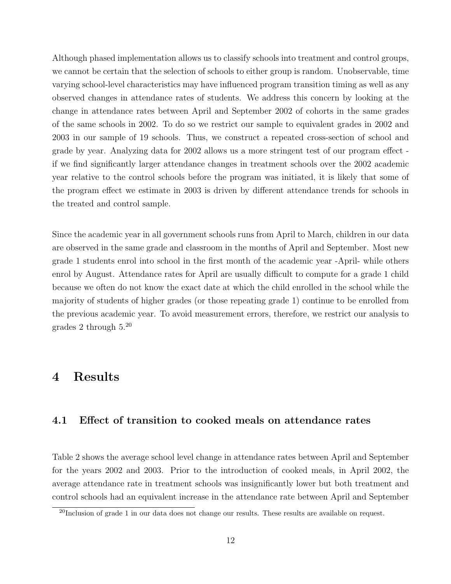Although phased implementation allows us to classify schools into treatment and control groups, we cannot be certain that the selection of schools to either group is random. Unobservable, time varying school-level characteristics may have influenced program transition timing as well as any observed changes in attendance rates of students. We address this concern by looking at the change in attendance rates between April and September 2002 of cohorts in the same grades of the same schools in 2002. To do so we restrict our sample to equivalent grades in 2002 and 2003 in our sample of 19 schools. Thus, we construct a repeated cross-section of school and grade by year. Analyzing data for 2002 allows us a more stringent test of our program effect if we find significantly larger attendance changes in treatment schools over the 2002 academic year relative to the control schools before the program was initiated, it is likely that some of the program effect we estimate in 2003 is driven by different attendance trends for schools in the treated and control sample.

Since the academic year in all government schools runs from April to March, children in our data are observed in the same grade and classroom in the months of April and September. Most new grade 1 students enrol into school in the first month of the academic year -April- while others enrol by August. Attendance rates for April are usually difficult to compute for a grade 1 child because we often do not know the exact date at which the child enrolled in the school while the majority of students of higher grades (or those repeating grade 1) continue to be enrolled from the previous academic year. To avoid measurement errors, therefore, we restrict our analysis to grades 2 through  $5.^{20}$ 

### 4 Results

#### 4.1 Effect of transition to cooked meals on attendance rates

Table 2 shows the average school level change in attendance rates between April and September for the years 2002 and 2003. Prior to the introduction of cooked meals, in April 2002, the average attendance rate in treatment schools was insignificantly lower but both treatment and control schools had an equivalent increase in the attendance rate between April and September

 $^{20}$ Inclusion of grade 1 in our data does not change our results. These results are available on request.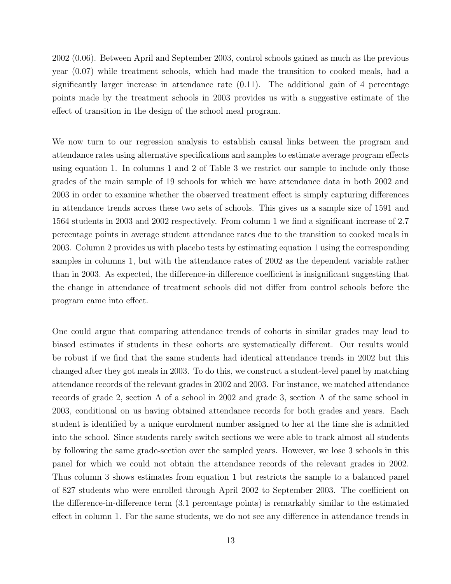2002 (0.06). Between April and September 2003, control schools gained as much as the previous year (0.07) while treatment schools, which had made the transition to cooked meals, had a significantly larger increase in attendance rate  $(0.11)$ . The additional gain of 4 percentage points made by the treatment schools in 2003 provides us with a suggestive estimate of the effect of transition in the design of the school meal program.

We now turn to our regression analysis to establish causal links between the program and attendance rates using alternative specifications and samples to estimate average program effects using equation 1. In columns 1 and 2 of Table 3 we restrict our sample to include only those grades of the main sample of 19 schools for which we have attendance data in both 2002 and 2003 in order to examine whether the observed treatment effect is simply capturing differences in attendance trends across these two sets of schools. This gives us a sample size of 1591 and 1564 students in 2003 and 2002 respectively. From column 1 we find a significant increase of 2.7 percentage points in average student attendance rates due to the transition to cooked meals in 2003. Column 2 provides us with placebo tests by estimating equation 1 using the corresponding samples in columns 1, but with the attendance rates of 2002 as the dependent variable rather than in 2003. As expected, the difference-in difference coefficient is insignificant suggesting that the change in attendance of treatment schools did not differ from control schools before the program came into effect.

One could argue that comparing attendance trends of cohorts in similar grades may lead to biased estimates if students in these cohorts are systematically different. Our results would be robust if we find that the same students had identical attendance trends in 2002 but this changed after they got meals in 2003. To do this, we construct a student-level panel by matching attendance records of the relevant grades in 2002 and 2003. For instance, we matched attendance records of grade 2, section A of a school in 2002 and grade 3, section A of the same school in 2003, conditional on us having obtained attendance records for both grades and years. Each student is identified by a unique enrolment number assigned to her at the time she is admitted into the school. Since students rarely switch sections we were able to track almost all students by following the same grade-section over the sampled years. However, we lose 3 schools in this panel for which we could not obtain the attendance records of the relevant grades in 2002. Thus column 3 shows estimates from equation 1 but restricts the sample to a balanced panel of 827 students who were enrolled through April 2002 to September 2003. The coefficient on the difference-in-difference term (3.1 percentage points) is remarkably similar to the estimated effect in column 1. For the same students, we do not see any difference in attendance trends in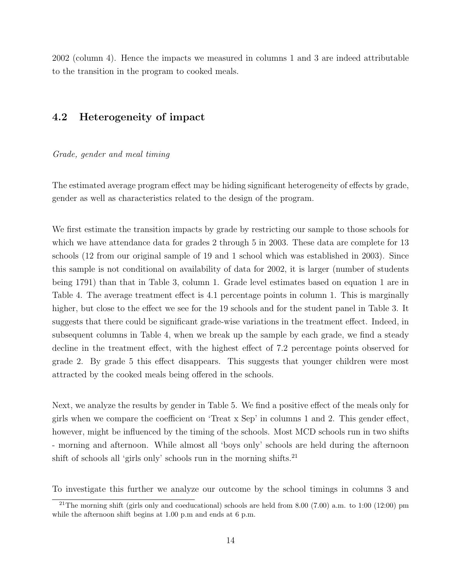2002 (column 4). Hence the impacts we measured in columns 1 and 3 are indeed attributable to the transition in the program to cooked meals.

#### 4.2 Heterogeneity of impact

#### Grade, gender and meal timing

The estimated average program effect may be hiding significant heterogeneity of effects by grade, gender as well as characteristics related to the design of the program.

We first estimate the transition impacts by grade by restricting our sample to those schools for which we have attendance data for grades 2 through 5 in 2003. These data are complete for 13 schools (12 from our original sample of 19 and 1 school which was established in 2003). Since this sample is not conditional on availability of data for 2002, it is larger (number of students being 1791) than that in Table 3, column 1. Grade level estimates based on equation 1 are in Table 4. The average treatment effect is 4.1 percentage points in column 1. This is marginally higher, but close to the effect we see for the 19 schools and for the student panel in Table 3. It suggests that there could be significant grade-wise variations in the treatment effect. Indeed, in subsequent columns in Table 4, when we break up the sample by each grade, we find a steady decline in the treatment effect, with the highest effect of 7.2 percentage points observed for grade 2. By grade 5 this effect disappears. This suggests that younger children were most attracted by the cooked meals being offered in the schools.

Next, we analyze the results by gender in Table 5. We find a positive effect of the meals only for girls when we compare the coefficient on 'Treat x Sep' in columns 1 and 2. This gender effect, however, might be influenced by the timing of the schools. Most MCD schools run in two shifts - morning and afternoon. While almost all 'boys only' schools are held during the afternoon shift of schools all 'girls only' schools run in the morning shifts.<sup>21</sup>

To investigate this further we analyze our outcome by the school timings in columns 3 and

<sup>&</sup>lt;sup>21</sup>The morning shift (girls only and coeducational) schools are held from 8.00 (7.00) a.m. to 1:00 (12:00) pm while the afternoon shift begins at 1.00 p.m and ends at 6 p.m.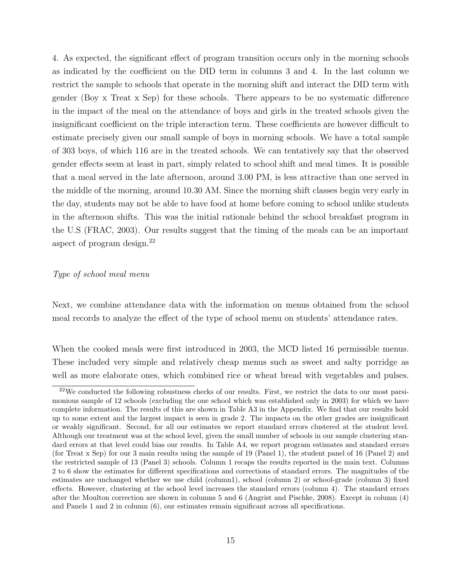4. As expected, the significant effect of program transition occurs only in the morning schools as indicated by the coefficient on the DID term in columns 3 and 4. In the last column we restrict the sample to schools that operate in the morning shift and interact the DID term with gender (Boy x Treat x Sep) for these schools. There appears to be no systematic difference in the impact of the meal on the attendance of boys and girls in the treated schools given the insignificant coefficient on the triple interaction term. These coefficients are however difficult to estimate precisely given our small sample of boys in morning schools. We have a total sample of 303 boys, of which 116 are in the treated schools. We can tentatively say that the observed gender effects seem at least in part, simply related to school shift and meal times. It is possible that a meal served in the late afternoon, around 3.00 PM, is less attractive than one served in the middle of the morning, around 10.30 AM. Since the morning shift classes begin very early in the day, students may not be able to have food at home before coming to school unlike students in the afternoon shifts. This was the initial rationale behind the school breakfast program in the U.S (FRAC, 2003). Our results suggest that the timing of the meals can be an important aspect of program design.<sup>22</sup>

#### Type of school meal menu

Next, we combine attendance data with the information on menus obtained from the school meal records to analyze the effect of the type of school menu on students' attendance rates.

When the cooked meals were first introduced in 2003, the MCD listed 16 permissible menus. These included very simple and relatively cheap menus such as sweet and salty porridge as well as more elaborate ones, which combined rice or wheat bread with vegetables and pulses.

<sup>22</sup>We conducted the following robustness checks of our results. First, we restrict the data to our most parsimonious sample of 12 schools (excluding the one school which was established only in 2003) for which we have complete information. The results of this are shown in Table A3 in the Appendix. We find that our results hold up to some extent and the largest impact is seen in grade 2. The impacts on the other grades are insignificant or weakly significant. Second, for all our estimates we report standard errors clustered at the student level. Although our treatment was at the school level, given the small number of schools in our sample clustering standard errors at that level could bias our results. In Table A4, we report program estimates and standard errors (for Treat x Sep) for our 3 main results using the sample of 19 (Panel 1), the student panel of 16 (Panel 2) and the restricted sample of 13 (Panel 3) schools. Column 1 recaps the results reported in the main text. Columns 2 to 6 show the estimates for different specifications and corrections of standard errors. The magnitudes of the estimates are unchanged whether we use child (column1), school (column 2) or school-grade (column 3) fixed effects. However, clustering at the school level increases the standard errors (column 4). The standard errors after the Moulton correction are shown in columns 5 and 6 (Angrist and Pischke, 2008). Except in column (4) and Panels 1 and 2 in column (6), our estimates remain significant across all specifications.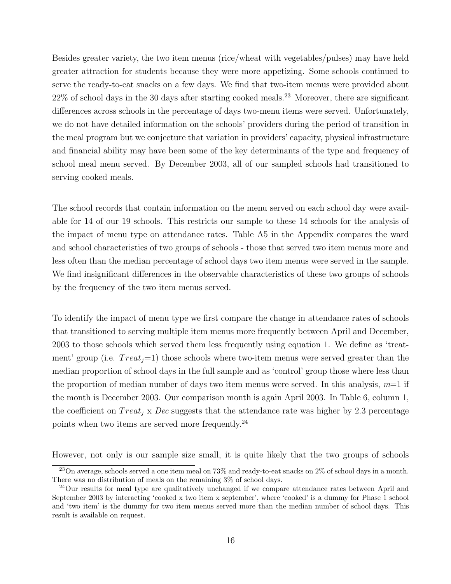Besides greater variety, the two item menus (rice/wheat with vegetables/pulses) may have held greater attraction for students because they were more appetizing. Some schools continued to serve the ready-to-eat snacks on a few days. We find that two-item menus were provided about  $22\%$  of school days in the 30 days after starting cooked meals.<sup>23</sup> Moreover, there are significant differences across schools in the percentage of days two-menu items were served. Unfortunately, we do not have detailed information on the schools' providers during the period of transition in the meal program but we conjecture that variation in providers' capacity, physical infrastructure and financial ability may have been some of the key determinants of the type and frequency of school meal menu served. By December 2003, all of our sampled schools had transitioned to serving cooked meals.

The school records that contain information on the menu served on each school day were available for 14 of our 19 schools. This restricts our sample to these 14 schools for the analysis of the impact of menu type on attendance rates. Table A5 in the Appendix compares the ward and school characteristics of two groups of schools - those that served two item menus more and less often than the median percentage of school days two item menus were served in the sample. We find insignificant differences in the observable characteristics of these two groups of schools by the frequency of the two item menus served.

To identify the impact of menu type we first compare the change in attendance rates of schools that transitioned to serving multiple item menus more frequently between April and December, 2003 to those schools which served them less frequently using equation 1. We define as 'treatment' group (i.e.  $Treat_j=1$ ) those schools where two-item menus were served greater than the median proportion of school days in the full sample and as 'control' group those where less than the proportion of median number of days two item menus were served. In this analysis,  $m=1$  if the month is December 2003. Our comparison month is again April 2003. In Table 6, column 1, the coefficient on  $Treat_i$  x Dec suggests that the attendance rate was higher by 2.3 percentage points when two items are served more frequently.<sup>24</sup>

However, not only is our sample size small, it is quite likely that the two groups of schools

<sup>&</sup>lt;sup>23</sup>On average, schools served a one item meal on 73% and ready-to-eat snacks on 2% of school days in a month. There was no distribution of meals on the remaining 3% of school days.

<sup>&</sup>lt;sup>24</sup>Our results for meal type are qualitatively unchanged if we compare attendance rates between April and September 2003 by interacting 'cooked x two item x september', where 'cooked' is a dummy for Phase 1 school and 'two item' is the dummy for two item menus served more than the median number of school days. This result is available on request.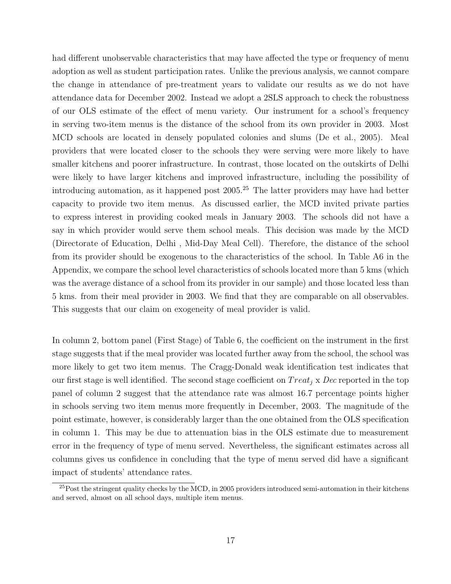had different unobservable characteristics that may have affected the type or frequency of menu adoption as well as student participation rates. Unlike the previous analysis, we cannot compare the change in attendance of pre-treatment years to validate our results as we do not have attendance data for December 2002. Instead we adopt a 2SLS approach to check the robustness of our OLS estimate of the effect of menu variety. Our instrument for a school's frequency in serving two-item menus is the distance of the school from its own provider in 2003. Most MCD schools are located in densely populated colonies and slums (De et al., 2005). Meal providers that were located closer to the schools they were serving were more likely to have smaller kitchens and poorer infrastructure. In contrast, those located on the outskirts of Delhi were likely to have larger kitchens and improved infrastructure, including the possibility of introducing automation, as it happened post  $2005.<sup>25</sup>$  The latter providers may have had better capacity to provide two item menus. As discussed earlier, the MCD invited private parties to express interest in providing cooked meals in January 2003. The schools did not have a say in which provider would serve them school meals. This decision was made by the MCD (Directorate of Education, Delhi , Mid-Day Meal Cell). Therefore, the distance of the school from its provider should be exogenous to the characteristics of the school. In Table A6 in the Appendix, we compare the school level characteristics of schools located more than 5 kms (which was the average distance of a school from its provider in our sample) and those located less than 5 kms. from their meal provider in 2003. We find that they are comparable on all observables. This suggests that our claim on exogeneity of meal provider is valid.

In column 2, bottom panel (First Stage) of Table 6, the coefficient on the instrument in the first stage suggests that if the meal provider was located further away from the school, the school was more likely to get two item menus. The Cragg-Donald weak identification test indicates that our first stage is well identified. The second stage coefficient on  $Treat_i \times Dec$  reported in the top panel of column 2 suggest that the attendance rate was almost 16.7 percentage points higher in schools serving two item menus more frequently in December, 2003. The magnitude of the point estimate, however, is considerably larger than the one obtained from the OLS specification in column 1. This may be due to attenuation bias in the OLS estimate due to measurement error in the frequency of type of menu served. Nevertheless, the significant estimates across all columns gives us confidence in concluding that the type of menu served did have a significant impact of students' attendance rates.

 $^{25}$ Post the stringent quality checks by the MCD, in 2005 providers introduced semi-automation in their kitchens and served, almost on all school days, multiple item menus.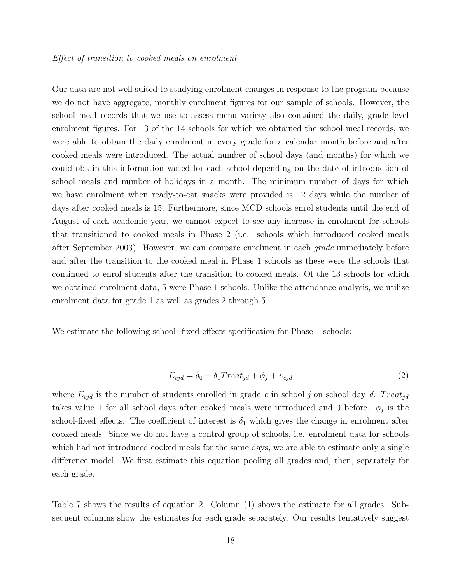Our data are not well suited to studying enrolment changes in response to the program because we do not have aggregate, monthly enrolment figures for our sample of schools. However, the school meal records that we use to assess menu variety also contained the daily, grade level enrolment figures. For 13 of the 14 schools for which we obtained the school meal records, we were able to obtain the daily enrolment in every grade for a calendar month before and after cooked meals were introduced. The actual number of school days (and months) for which we could obtain this information varied for each school depending on the date of introduction of school meals and number of holidays in a month. The minimum number of days for which we have enrolment when ready-to-eat snacks were provided is 12 days while the number of days after cooked meals is 15. Furthermore, since MCD schools enrol students until the end of August of each academic year, we cannot expect to see any increase in enrolment for schools that transitioned to cooked meals in Phase 2 (i.e. schools which introduced cooked meals after September 2003). However, we can compare enrolment in each grade immediately before and after the transition to the cooked meal in Phase 1 schools as these were the schools that continued to enrol students after the transition to cooked meals. Of the 13 schools for which we obtained enrolment data, 5 were Phase 1 schools. Unlike the attendance analysis, we utilize enrolment data for grade 1 as well as grades 2 through 5.

We estimate the following school- fixed effects specification for Phase 1 schools:

$$
E_{cjd} = \delta_0 + \delta_1 Treat_{jd} + \phi_j + v_{cjd} \tag{2}
$$

where  $E_{cjd}$  is the number of students enrolled in grade c in school j on school day d. Treat<sub>jd</sub> takes value 1 for all school days after cooked meals were introduced and 0 before.  $\phi_j$  is the school-fixed effects. The coefficient of interest is  $\delta_1$  which gives the change in enrolment after cooked meals. Since we do not have a control group of schools, i.e. enrolment data for schools which had not introduced cooked meals for the same days, we are able to estimate only a single difference model. We first estimate this equation pooling all grades and, then, separately for each grade.

Table 7 shows the results of equation 2. Column (1) shows the estimate for all grades. Subsequent columns show the estimates for each grade separately. Our results tentatively suggest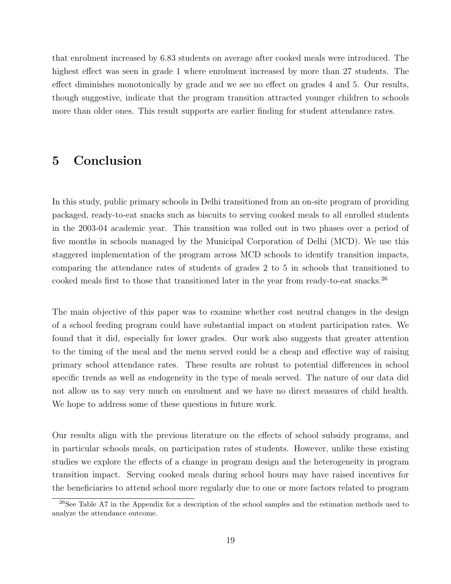that enrolment increased by 6.83 students on average after cooked meals were introduced. The highest effect was seen in grade 1 where enrolment increased by more than 27 students. The effect diminishes monotonically by grade and we see no effect on grades 4 and 5. Our results, though suggestive, indicate that the program transition attracted younger children to schools more than older ones. This result supports are earlier finding for student attendance rates.

# 5 Conclusion

In this study, public primary schools in Delhi transitioned from an on-site program of providing packaged, ready-to-eat snacks such as biscuits to serving cooked meals to all enrolled students in the 2003-04 academic year. This transition was rolled out in two phases over a period of five months in schools managed by the Municipal Corporation of Delhi (MCD). We use this staggered implementation of the program across MCD schools to identify transition impacts, comparing the attendance rates of students of grades 2 to 5 in schools that transitioned to cooked meals first to those that transitioned later in the year from ready-to-eat snacks.<sup>26</sup>

The main objective of this paper was to examine whether cost neutral changes in the design of a school feeding program could have substantial impact on student participation rates. We found that it did, especially for lower grades. Our work also suggests that greater attention to the timing of the meal and the menu served could be a cheap and effective way of raising primary school attendance rates. These results are robust to potential differences in school specific trends as well as endogeneity in the type of meals served. The nature of our data did not allow us to say very much on enrolment and we have no direct measures of child health. We hope to address some of these questions in future work.

Our results align with the previous literature on the effects of school subsidy programs, and in particular schools meals, on participation rates of students. However, unlike these existing studies we explore the effects of a change in program design and the heterogeneity in program transition impact. Serving cooked meals during school hours may have raised incentives for the beneficiaries to attend school more regularly due to one or more factors related to program

<sup>&</sup>lt;sup>26</sup>See Table A7 in the Appendix for a description of the school samples and the estimation methods used to analyze the attendance outcome.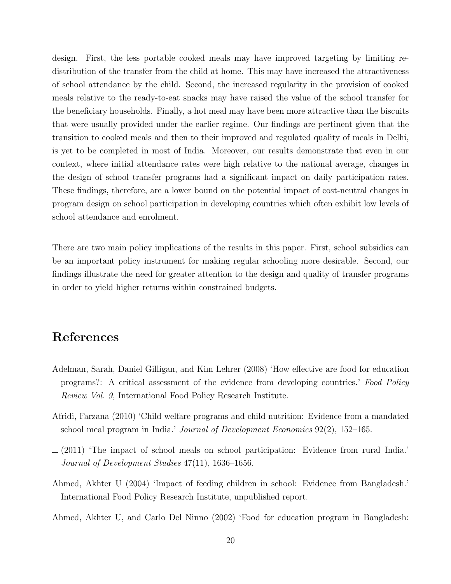design. First, the less portable cooked meals may have improved targeting by limiting redistribution of the transfer from the child at home. This may have increased the attractiveness of school attendance by the child. Second, the increased regularity in the provision of cooked meals relative to the ready-to-eat snacks may have raised the value of the school transfer for the beneficiary households. Finally, a hot meal may have been more attractive than the biscuits that were usually provided under the earlier regime. Our findings are pertinent given that the transition to cooked meals and then to their improved and regulated quality of meals in Delhi, is yet to be completed in most of India. Moreover, our results demonstrate that even in our context, where initial attendance rates were high relative to the national average, changes in the design of school transfer programs had a significant impact on daily participation rates. These findings, therefore, are a lower bound on the potential impact of cost-neutral changes in program design on school participation in developing countries which often exhibit low levels of school attendance and enrolment.

There are two main policy implications of the results in this paper. First, school subsidies can be an important policy instrument for making regular schooling more desirable. Second, our findings illustrate the need for greater attention to the design and quality of transfer programs in order to yield higher returns within constrained budgets.

# References

- Adelman, Sarah, Daniel Gilligan, and Kim Lehrer (2008) 'How effective are food for education programs?: A critical assessment of the evidence from developing countries.' Food Policy Review Vol. 9, International Food Policy Research Institute.
- Afridi, Farzana (2010) 'Child welfare programs and child nutrition: Evidence from a mandated school meal program in India.' Journal of Development Economics 92(2), 152–165.
- $(2011)$  The impact of school meals on school participation: Evidence from rural India. Journal of Development Studies 47(11), 1636–1656.
- Ahmed, Akhter U (2004) 'Impact of feeding children in school: Evidence from Bangladesh.' International Food Policy Research Institute, unpublished report.
- Ahmed, Akhter U, and Carlo Del Ninno (2002) 'Food for education program in Bangladesh: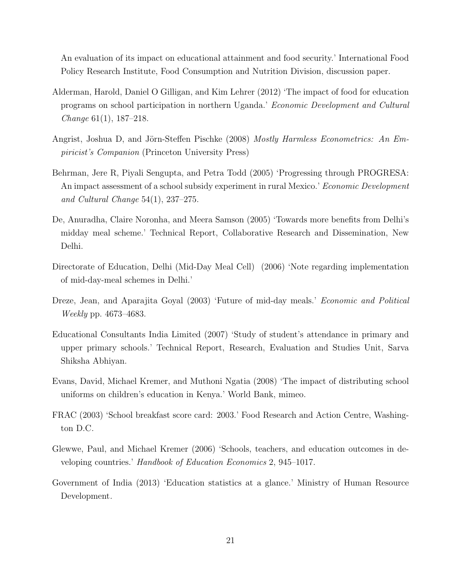An evaluation of its impact on educational attainment and food security.' International Food Policy Research Institute, Food Consumption and Nutrition Division, discussion paper.

- Alderman, Harold, Daniel O Gilligan, and Kim Lehrer (2012) 'The impact of food for education programs on school participation in northern Uganda.' Economic Development and Cultural Change 61(1), 187–218.
- Angrist, Joshua D, and Jörn-Steffen Pischke (2008) Mostly Harmless Econometrics: An Empiricist's Companion (Princeton University Press)
- Behrman, Jere R, Piyali Sengupta, and Petra Todd (2005) 'Progressing through PROGRESA: An impact assessment of a school subsidy experiment in rural Mexico.' Economic Development and Cultural Change 54(1), 237–275.
- De, Anuradha, Claire Noronha, and Meera Samson (2005) 'Towards more benefits from Delhi's midday meal scheme.' Technical Report, Collaborative Research and Dissemination, New Delhi.
- Directorate of Education, Delhi (Mid-Day Meal Cell) (2006) 'Note regarding implementation of mid-day-meal schemes in Delhi.'
- Dreze, Jean, and Aparajita Goyal (2003) 'Future of mid-day meals.' *Economic and Political* Weekly pp. 4673–4683.
- Educational Consultants India Limited (2007) 'Study of student's attendance in primary and upper primary schools.' Technical Report, Research, Evaluation and Studies Unit, Sarva Shiksha Abhiyan.
- Evans, David, Michael Kremer, and Muthoni Ngatia (2008) 'The impact of distributing school uniforms on children's education in Kenya.' World Bank, mimeo.
- FRAC (2003) 'School breakfast score card: 2003.' Food Research and Action Centre, Washington D.C.
- Glewwe, Paul, and Michael Kremer (2006) 'Schools, teachers, and education outcomes in developing countries.' Handbook of Education Economics 2, 945–1017.
- Government of India (2013) 'Education statistics at a glance.' Ministry of Human Resource Development.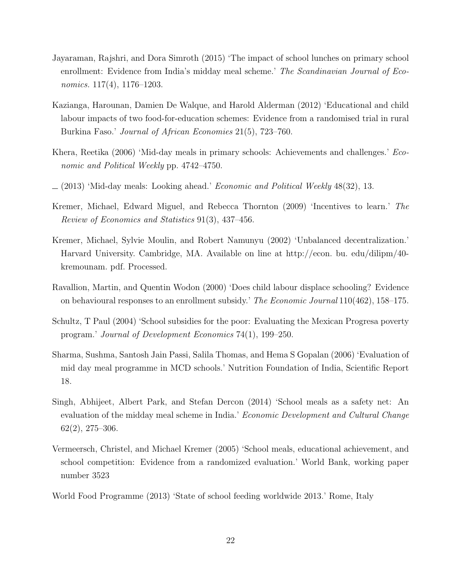- Jayaraman, Rajshri, and Dora Simroth (2015) 'The impact of school lunches on primary school enrollment: Evidence from India's midday meal scheme.' The Scandinavian Journal of Economics. 117(4), 1176–1203.
- Kazianga, Harounan, Damien De Walque, and Harold Alderman (2012) 'Educational and child labour impacts of two food-for-education schemes: Evidence from a randomised trial in rural Burkina Faso.' Journal of African Economies 21(5), 723–760.
- Khera, Reetika (2006) 'Mid-day meals in primary schools: Achievements and challenges.' Economic and Political Weekly pp. 4742–4750.
- $(2013)$  'Mid-day meals: Looking ahead.' *Economic and Political Weekly* 48(32), 13.
- Kremer, Michael, Edward Miguel, and Rebecca Thornton (2009) 'Incentives to learn.' The Review of Economics and Statistics 91(3), 437–456.
- Kremer, Michael, Sylvie Moulin, and Robert Namunyu (2002) 'Unbalanced decentralization.' Harvard University. Cambridge, MA. Available on line at http://econ. bu. edu/dilipm/40 kremounam. pdf. Processed.
- Ravallion, Martin, and Quentin Wodon (2000) 'Does child labour displace schooling? Evidence on behavioural responses to an enrollment subsidy.' The Economic Journal 110(462), 158–175.
- Schultz, T Paul (2004) 'School subsidies for the poor: Evaluating the Mexican Progresa poverty program.' Journal of Development Economics 74(1), 199–250.
- Sharma, Sushma, Santosh Jain Passi, Salila Thomas, and Hema S Gopalan (2006) 'Evaluation of mid day meal programme in MCD schools.' Nutrition Foundation of India, Scientific Report 18.
- Singh, Abhijeet, Albert Park, and Stefan Dercon (2014) 'School meals as a safety net: An evaluation of the midday meal scheme in India.' Economic Development and Cultural Change 62(2), 275–306.
- Vermeersch, Christel, and Michael Kremer (2005) 'School meals, educational achievement, and school competition: Evidence from a randomized evaluation.' World Bank, working paper number 3523
- World Food Programme (2013) 'State of school feeding worldwide 2013.' Rome, Italy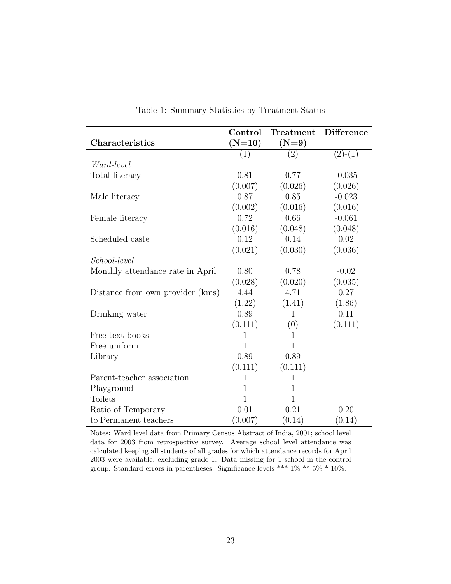|                                  | Control      | Treatment         | <b>Difference</b> |
|----------------------------------|--------------|-------------------|-------------------|
| Characteristics                  | $(N=10)$     | $(N=9)$           |                   |
|                                  | (1)          | $\left( 2\right)$ | $(2)-(1)$         |
| Ward-level                       |              |                   |                   |
| Total literacy                   | 0.81         | 0.77              | $-0.035$          |
|                                  | (0.007)      | (0.026)           | (0.026)           |
| Male literacy                    | 0.87         | 0.85              | $-0.023$          |
|                                  | (0.002)      | (0.016)           | (0.016)           |
| Female literacy                  | 0.72         | 0.66              | $-0.061$          |
|                                  | (0.016)      | (0.048)           | (0.048)           |
| Scheduled caste                  | 0.12         | 0.14              | 0.02              |
|                                  | (0.021)      | (0.030)           | (0.036)           |
| School-level                     |              |                   |                   |
| Monthly attendance rate in April | 0.80         | 0.78              | $-0.02$           |
|                                  | (0.028)      | (0.020)           | (0.035)           |
| Distance from own provider (kms) | 4.44         | 4.71              | 0.27              |
|                                  | (1.22)       | (1.41)            | (1.86)            |
| Drinking water                   | 0.89         | 1                 | 0.11              |
|                                  | (0.111)      | (0)               | (0.111)           |
| Free text books                  | 1            | 1                 |                   |
| Free uniform                     | 1            | 1                 |                   |
| Library                          | 0.89         | 0.89              |                   |
|                                  | (0.111)      | (0.111)           |                   |
| Parent-teacher association       | 1            | 1                 |                   |
| Playground                       | $\mathbf{1}$ | $\mathbf{1}$      |                   |
| <b>Toilets</b>                   | 1            | 1                 |                   |
| Ratio of Temporary               | 0.01         | 0.21              | 0.20              |
| to Permanent teachers            | (0.007)      | (0.14)            | (0.14)            |

Table 1: Summary Statistics by Treatment Status

Notes: Ward level data from Primary Census Abstract of India, 2001; school level data for 2003 from retrospective survey. Average school level attendance was calculated keeping all students of all grades for which attendance records for April 2003 were available, excluding grade 1. Data missing for 1 school in the control group. Standard errors in parentheses. Significance levels \*\*\* 1% \*\* 5% \* 10%.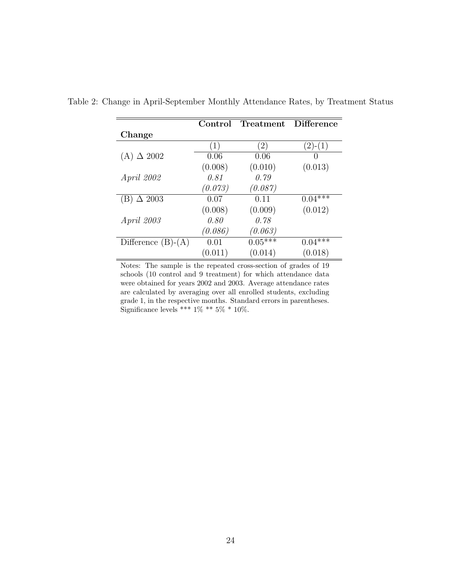|                      | Control          | Treatment Difference |           |
|----------------------|------------------|----------------------|-----------|
| Change               |                  |                      |           |
|                      | $\left(1\right)$ | $\left(2\right)$     | $(2)-(1)$ |
| $(A) \triangle 2002$ | 0.06             | 0.06                 |           |
|                      | (0.008)          | (0.010)              | (0.013)   |
| April 2002           | 0.81             | 0.79                 |           |
|                      | (0.073)          | (0.087)              |           |
| $\Delta 2003$<br>(B) | 0.07             | 0.11                 | $0.04***$ |
|                      | (0.008)          | (0.009)              | (0.012)   |
| April 2003           | 0.80             | 0.78                 |           |
|                      | (0.086)          | (0.063)              |           |
| Difference $(B)-(A)$ | 0.01             | $0.05***$            | $0.04***$ |
|                      | (0.011)          | (0.014)              | (0.018)   |

Table 2: Change in April-September Monthly Attendance Rates, by Treatment Status

Notes: The sample is the repeated cross-section of grades of 19 schools (10 control and 9 treatment) for which attendance data were obtained for years 2002 and 2003. Average attendance rates are calculated by averaging over all enrolled students, excluding grade 1, in the respective months. Standard errors in parentheses. Significance levels \*\*\*  $1\%$  \*\*  $5\%$  \*  $10\%.$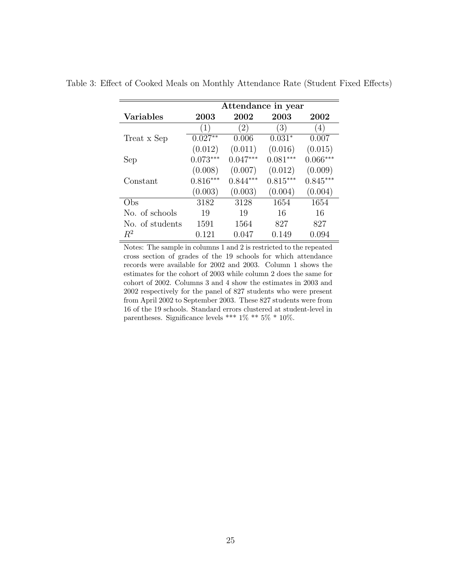|                  | Attendance in year |            |            |                  |  |  |  |
|------------------|--------------------|------------|------------|------------------|--|--|--|
| <b>Variables</b> | 2003               | 2002       | 2003       | 2002             |  |  |  |
|                  | (1)                | (2)        | (3)        | $\left(4\right)$ |  |  |  |
| Treat x Sep      | $0.027**$          | 0.006      | $0.031*$   | 0.007            |  |  |  |
|                  | (0.012)            | (0.011)    | (0.016)    | (0.015)          |  |  |  |
| Sep              | $0.073***$         | $0.047***$ | $0.081***$ | $0.066***$       |  |  |  |
|                  | (0.008)            | (0.007)    | (0.012)    | (0.009)          |  |  |  |
| Constant         | $0.816***$         | $0.844***$ | $0.815***$ | $0.845***$       |  |  |  |
|                  | (0.003)            | (0.003)    | (0.004)    | (0.004)          |  |  |  |
| Obs              | 3182               | 3128       | 1654       | 1654             |  |  |  |
| No. of schools   | 19                 | 19         | 16         | 16               |  |  |  |
| No. of students  | 1591               | 1564       | 827        | 827              |  |  |  |
| $R^2$            | 0.121              | 0.047      | 0.149      | 0.094            |  |  |  |

Table 3: Effect of Cooked Meals on Monthly Attendance Rate (Student Fixed Effects)

Notes: The sample in columns 1 and 2 is restricted to the repeated cross section of grades of the 19 schools for which attendance records were available for 2002 and 2003. Column 1 shows the estimates for the cohort of 2003 while column 2 does the same for cohort of 2002. Columns 3 and 4 show the estimates in 2003 and 2002 respectively for the panel of 827 students who were present from April 2002 to September 2003. These 827 students were from 16 of the 19 schools. Standard errors clustered at student-level in parentheses. Significance levels \*\*\*  $1\%$  \*\*  $5\%$  \*  $10\%.$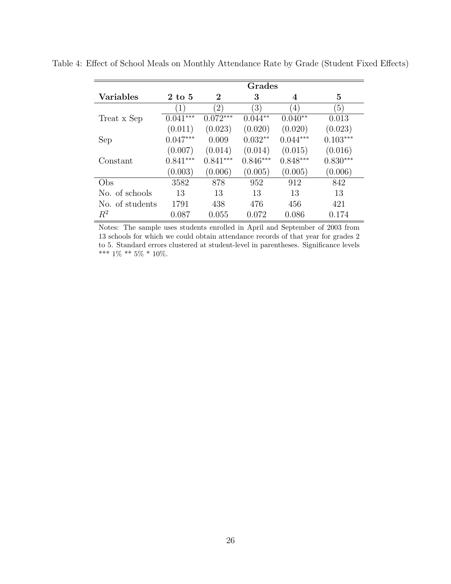|                  | Grades           |               |                  |                  |                  |  |  |
|------------------|------------------|---------------|------------------|------------------|------------------|--|--|
| <b>Variables</b> | $2$ to $5$       | 2             | 3                | 4                | 5                |  |  |
|                  | $\left(1\right)$ | $^{\prime}2)$ | $\left(3\right)$ | $\left(4\right)$ | $\left(5\right)$ |  |  |
| Treat x Sep      | $0.041***$       | $0.072***$    | $0.044**$        | $0.040**$        | 0.013            |  |  |
|                  | (0.011)          | (0.023)       | (0.020)          | (0.020)          | (0.023)          |  |  |
| Sep              | $0.047***$       | 0.009         | $0.032**$        | $0.044***$       | $0.103***$       |  |  |
|                  | (0.007)          | (0.014)       | (0.014)          | (0.015)          | (0.016)          |  |  |
| Constant         | $0.841***$       | $0.841***$    | $0.846***$       | $0.848***$       | $0.830***$       |  |  |
|                  | (0.003)          | (0.006)       | (0.005)          | (0.005)          | (0.006)          |  |  |
| Obs              | 3582             | 878           | 952              | 912              | 842              |  |  |
| No. of schools   | 13               | 13            | 13               | 13               | 13               |  |  |
| No. of students  | 1791             | 438           | 476              | 456              | 421              |  |  |
| $R^2$            | 0.087            | 0.055         | 0.072            | 0.086            | 0.174            |  |  |

Table 4: Effect of School Meals on Monthly Attendance Rate by Grade (Student Fixed Effects)

Notes: The sample uses students enrolled in April and September of 2003 from 13 schools for which we could obtain attendance records of that year for grades 2 to 5. Standard errors clustered at student-level in parentheses. Significance levels \*\*\* 1% \*\* 5% \* 10%.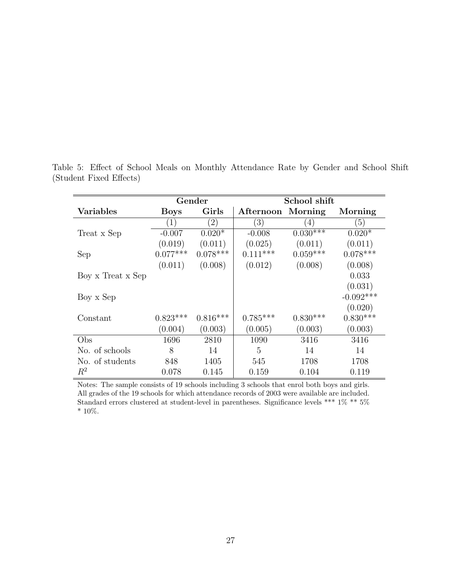|                   |             | Gender      | School shift     |                   |                  |  |
|-------------------|-------------|-------------|------------------|-------------------|------------------|--|
| <b>Variables</b>  | <b>Boys</b> | Girls       | Afternoon        | Morning           | Morning          |  |
|                   |             | $2^{\circ}$ | $\left(3\right)$ | $\left( 4\right)$ | $\left(5\right)$ |  |
| Treat x Sep       | $-0.007$    | $0.020*$    | $-0.008$         | $0.030***$        | $0.020*$         |  |
|                   | (0.019)     | (0.011)     | (0.025)          | (0.011)           | (0.011)          |  |
| Sep               | $0.077***$  | $0.078***$  | $0.111***$       | $0.059***$        | $0.078***$       |  |
|                   | (0.011)     | (0.008)     | (0.012)          | (0.008)           | (0.008)          |  |
| Boy x Treat x Sep |             |             |                  |                   | 0.033            |  |
|                   |             |             |                  |                   | (0.031)          |  |
| Boy x Sep         |             |             |                  |                   | $-0.092***$      |  |
|                   |             |             |                  |                   | (0.020)          |  |
| Constant          | $0.823***$  | $0.816***$  | $0.785***$       | $0.830***$        | $0.830***$       |  |
|                   | (0.004)     | (0.003)     | (0.005)          | (0.003)           | (0.003)          |  |
| Obs               | 1696        | 2810        | 1090             | 3416              | 3416             |  |
| No. of schools    | 8           | 14          | 5                | 14                | 14               |  |
| No. of students   | 848         | 1405        | 545              | 1708              | 1708             |  |
| $R^2$             | 0.078       | 0.145       | 0.159            | 0.104             | 0.119            |  |

Table 5: Effect of School Meals on Monthly Attendance Rate by Gender and School Shift (Student Fixed Effects)

Notes: The sample consists of 19 schools including 3 schools that enrol both boys and girls. All grades of the 19 schools for which attendance records of 2003 were available are included. Standard errors clustered at student-level in parentheses. Significance levels \*\*\* 1% \*\* 5%  $^*$  10%.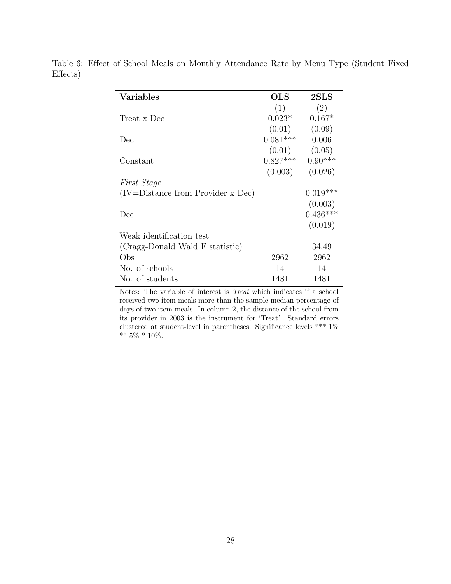| Variables                             | <b>OLS</b>       | 2SLS              |
|---------------------------------------|------------------|-------------------|
|                                       | $\left(1\right)$ | $\left( 2\right)$ |
| Treat x Dec                           | $0.023*$         | $0.167*$          |
|                                       | (0.01)           | (0.09)            |
| Dec                                   | $0.081***$       | 0.006             |
|                                       | (0.01)           | (0.05)            |
| Constant                              | $0.827***$       | $0.90***$         |
|                                       | (0.003)          | (0.026)           |
| <i>First Stage</i>                    |                  |                   |
| $(IV = Distance from Provider x Dec)$ |                  | $0.019***$        |
|                                       |                  | (0.003)           |
| Dec                                   |                  | $0.436***$        |
|                                       |                  | (0.019)           |
| Weak identification test              |                  |                   |
| (Cragg-Donald Wald F statistic)       |                  | 34.49             |
| Obs                                   | 2962             | 2962              |
| No. of schools                        | 14               | 14                |
| No. of students                       | 1481             | 1481              |

Table 6: Effect of School Meals on Monthly Attendance Rate by Menu Type (Student Fixed Effects)

Notes: The variable of interest is Treat which indicates if a school received two-item meals more than the sample median percentage of days of two-item meals. In column 2, the distance of the school from its provider in 2003 is the instrument for 'Treat'. Standard errors clustered at student-level in parentheses. Significance levels \*\*\*  $1\%$  $**$  5%  $*$  10%.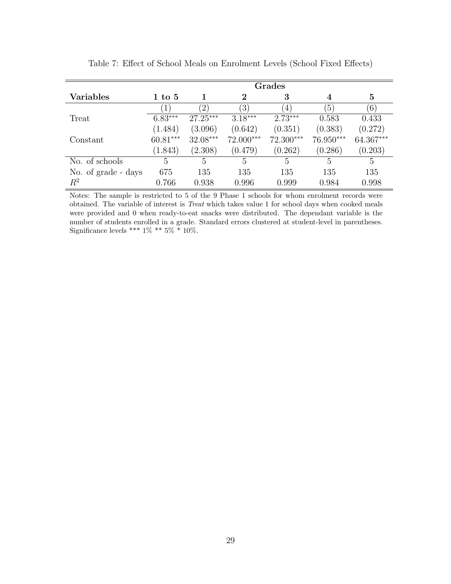|                     | Grades           |               |                  |                |                  |           |
|---------------------|------------------|---------------|------------------|----------------|------------------|-----------|
| Variables           | $1\;{\rm to}\;5$ |               | $\bf{2}$         | 3              | 4                | $\bf{5}$  |
|                     |                  | $^{\prime}2)$ | $\left(3\right)$ | $\overline{4}$ | $\left(5\right)$ | (6)       |
| Treat               | $6.83***$        | $27.25***$    | $3.18***$        | $2.73***$      | 0.583            | 0.433     |
|                     | (1.484)          | (3.096)       | (0.642)          | (0.351)        | (0.383)          | (0.272)   |
| Constant            | $60.81***$       | $32.08***$    | 72.000***        | 72.300***      | 76.950***        | 64.367*** |
|                     | (1.843)          | (2.308)       | (0.479)          | (0.262)        | (0.286)          | (0.203)   |
| No. of schools      | 5                | 5             | $\mathbf{5}$     | 5              | 5                | 5         |
| No. of grade - days | 675              | 135           | 135              | 135            | 135              | 135       |
| $R^2$               | 0.766            | 0.938         | 0.996            | 0.999          | 0.984            | 0.998     |

Table 7: Effect of School Meals on Enrolment Levels (School Fixed Effects)

Notes: The sample is restricted to 5 of the 9 Phase 1 schools for whom enrolment records were obtained. The variable of interest is Treat which takes value 1 for school days when cooked meals were provided and 0 when ready-to-eat snacks were distributed. The dependant variable is the number of students enrolled in a grade. Standard errors clustered at student-level in parentheses. Significance levels \*\*\* 1% \*\* 5% \* 10%.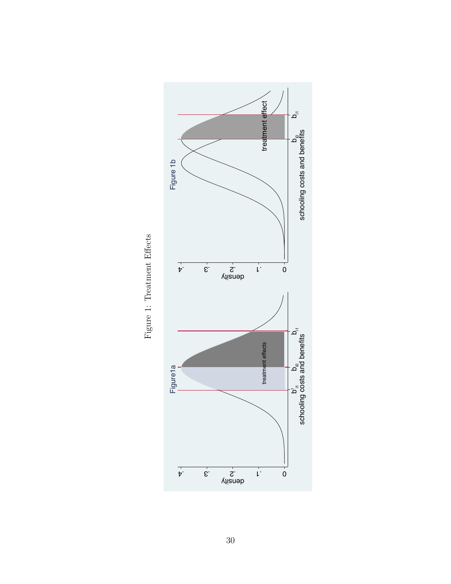

Figure 1: Treatment Effects Figure 1: Treatment Effects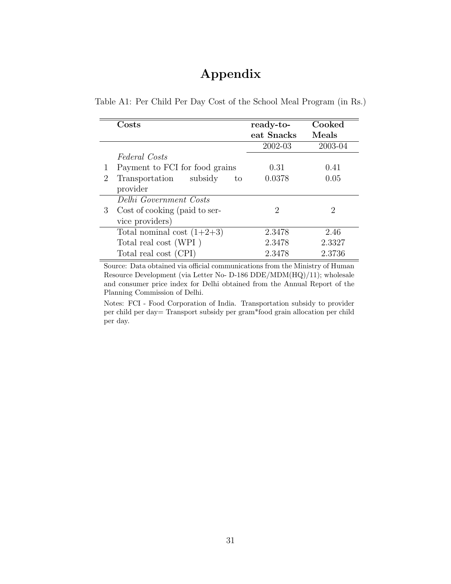# Appendix

|  |  | Table A1: Per Child Per Day Cost of the School Meal Program (in Rs.) |  |  |
|--|--|----------------------------------------------------------------------|--|--|
|  |  |                                                                      |  |  |

|   | Costs                           | ready-to-                   | Cooked  |
|---|---------------------------------|-----------------------------|---------|
|   |                                 | eat Snacks                  | Meals   |
|   |                                 | 2002-03                     | 2003-04 |
|   | Federal Costs                   |                             |         |
|   | Payment to FCI for food grains  | 0.31                        | 0.41    |
| 2 | Transportation<br>subsidy<br>to | 0.0378                      | 0.05    |
|   | provider                        |                             |         |
|   | Delhi Government Costs          |                             |         |
| 3 | Cost of cooking (paid to ser-   | $\mathcal{D}_{\mathcal{L}}$ | 2       |
|   | vice providers)                 |                             |         |
|   | Total nominal cost $(1+2+3)$    | 2.3478                      | 2.46    |
|   | Total real cost (WPI)           | 2.3478                      | 2.3327  |
|   | Total real cost (CPI)           | 2.3478                      | 2.3736  |

Source: Data obtained via official communications from the Ministry of Human Resource Development (via Letter No- D-186 DDE/MDM(HQ)/11); wholesale and consumer price index for Delhi obtained from the Annual Report of the Planning Commission of Delhi.

Notes: FCI - Food Corporation of India. Transportation subsidy to provider per child per day= Transport subsidy per gram\*food grain allocation per child per day.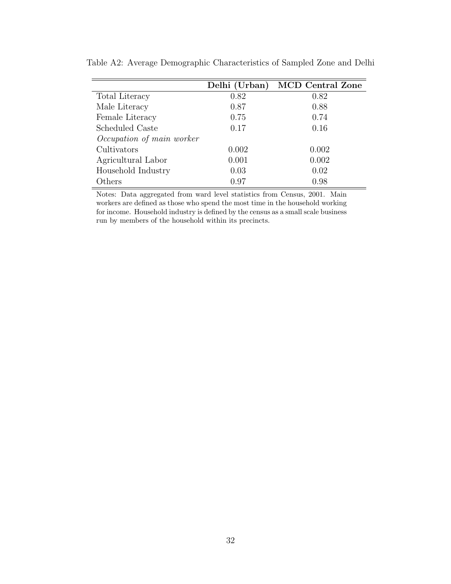|                           | Delhi (Urban) | <b>MCD</b> Central Zone |
|---------------------------|---------------|-------------------------|
| Total Literacy            | 0.82          | 0.82                    |
| Male Literacy             | 0.87          | 0.88                    |
| Female Literacy           | 0.75          | 0.74                    |
| Scheduled Caste           | 0.17          | 0.16                    |
| Occupation of main worker |               |                         |
| Cultivators               | 0.002         | 0.002                   |
| Agricultural Labor        | 0.001         | 0.002                   |
| Household Industry        | 0.03          | 0.02                    |
| Others                    | 0.97          | 0.98                    |

Table A2: Average Demographic Characteristics of Sampled Zone and Delhi

Notes: Data aggregated from ward level statistics from Census, 2001. Main workers are defined as those who spend the most time in the household working for income. Household industry is defined by the census as a small scale business run by members of the household within its precincts.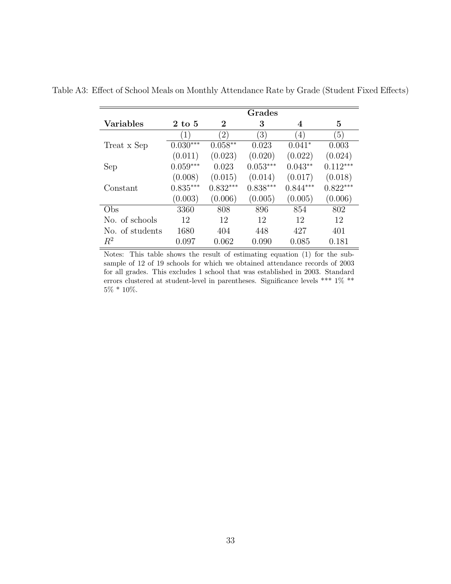|                  |                  |                  | Grades           |                  |            |
|------------------|------------------|------------------|------------------|------------------|------------|
| <b>Variables</b> | $2\;{\rm to}\;5$ | $\boldsymbol{2}$ | 3                | 4                | 5          |
|                  | $\left(1\right)$ | $^{(2)}$         | $\left(3\right)$ | $\left(4\right)$ | (5)        |
| Treat x Sep      | $0.030***$       | $0.058**$        | 0.023            | $0.041*$         | 0.003      |
|                  | (0.011)          | (0.023)          | (0.020)          | (0.022)          | (0.024)    |
| Sep              | $0.059***$       | 0.023            | $0.053***$       | $0.043**$        | $0.112***$ |
|                  | (0.008)          | (0.015)          | (0.014)          | (0.017)          | (0.018)    |
| Constant         | $0.835***$       | $0.832***$       | $0.838***$       | $0.844***$       | $0.822***$ |
|                  | (0.003)          | (0.006)          | (0.005)          | (0.005)          | (0.006)    |
| Obs              | 3360             | 808              | 896              | 854              | 802        |
| No. of schools   | 12               | 12               | 12               | 12               | 12         |
| No. of students  | 1680             | 404              | 448              | 427              | 401        |
| $R^2$            | 0.097            | 0.062            | 0.090            | 0.085            | 0.181      |

Table A3: Effect of School Meals on Monthly Attendance Rate by Grade (Student Fixed Effects)

Notes: This table shows the result of estimating equation (1) for the subsample of 12 of 19 schools for which we obtained attendance records of 2003 for all grades. This excludes 1 school that was established in 2003. Standard errors clustered at student-level in parentheses. Significance levels \*\*\* 1% \*\*  $5\%$  \* 10%.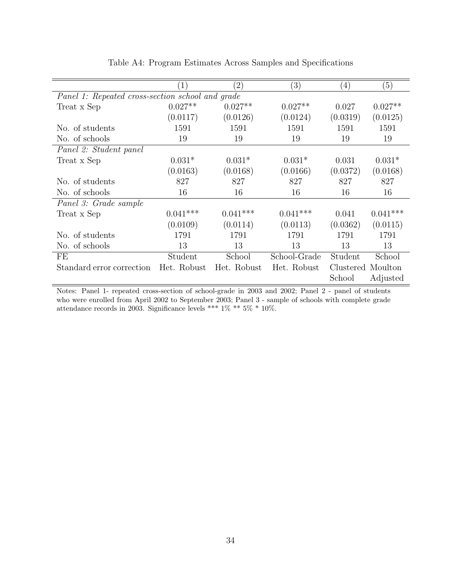|                                                  | $\mathbf{1}$ | $\left( 2\right)$ | $\left( 3\right)$ | $\left(4\right)$ | (5)               |
|--------------------------------------------------|--------------|-------------------|-------------------|------------------|-------------------|
| Panel 1: Repeated cross-section school and grade |              |                   |                   |                  |                   |
| Treat x Sep                                      | $0.027**$    | $0.027**$         | $0.027**$         | 0.027            | $0.027**$         |
|                                                  | (0.0117)     | (0.0126)          | (0.0124)          | (0.0319)         | (0.0125)          |
| No. of students                                  | 1591         | 1591              | 1591              | 1591             | 1591              |
| No. of schools                                   | 19           | 19                | 19                | 19               | 19                |
| Panel 2: Student panel                           |              |                   |                   |                  |                   |
| Treat x Sep                                      | $0.031*$     | $0.031*$          | $0.031*$          | 0.031            | $0.031*$          |
|                                                  | (0.0163)     | (0.0168)          | (0.0166)          | (0.0372)         | (0.0168)          |
| No. of students                                  | 827          | 827               | 827               | 827              | 827               |
| No. of schools                                   | 16           | 16                | 16                | 16               | 16                |
| Panel 3: Grade sample                            |              |                   |                   |                  |                   |
| Treat x Sep                                      | $0.041***$   | $0.041***$        | $0.041***$        | 0.041            | $0.041***$        |
|                                                  | (0.0109)     | (0.0114)          | (0.0113)          | (0.0362)         | (0.0115)          |
| No. of students                                  | 1791         | 1791              | 1791              | 1791             | 1791              |
| No. of schools                                   | 13           | 13                | 13                | 13               | 13                |
| FE                                               | Student      | School            | School-Grade      | Student          | School            |
| Standard error correction                        | Het. Robust  | Het. Robust       | Het. Robust       |                  | Clustered Moulton |
|                                                  |              |                   |                   | School           | Adjusted          |

Table A4: Program Estimates Across Samples and Specifications

Notes: Panel 1- repeated cross-section of school-grade in 2003 and 2002; Panel 2 - panel of students who were enrolled from April 2002 to September 2003; Panel 3 - sample of schools with complete grade attendance records in 2003. Significance levels \*\*\* 1% \*\* 5% \* 10%.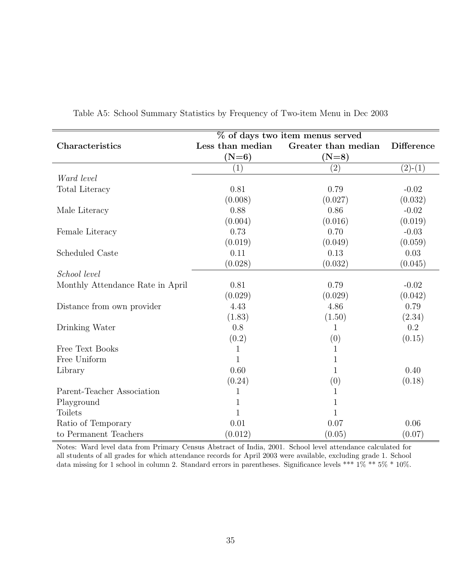|                                  |                  | % of days two item menus served |                   |
|----------------------------------|------------------|---------------------------------|-------------------|
| Characteristics                  | Less than median | Greater than median             | <b>Difference</b> |
|                                  | $(N=6)$          | $(N=8)$                         |                   |
|                                  | (1)              | (2)                             | $(2)-(1)$         |
| Ward level                       |                  |                                 |                   |
| <b>Total Literacy</b>            | 0.81             | 0.79                            | $-0.02$           |
|                                  | (0.008)          | (0.027)                         | (0.032)           |
| Male Literacy                    | 0.88             | 0.86                            | $-0.02$           |
|                                  | (0.004)          | (0.016)                         | (0.019)           |
| Female Literacy                  | 0.73             | 0.70                            | $-0.03$           |
|                                  | (0.019)          | (0.049)                         | (0.059)           |
| Scheduled Caste                  | 0.11             | 0.13                            | 0.03              |
|                                  | (0.028)          | (0.032)                         | (0.045)           |
| School level                     |                  |                                 |                   |
| Monthly Attendance Rate in April | 0.81             | 0.79                            | $-0.02$           |
|                                  | (0.029)          | (0.029)                         | (0.042)           |
| Distance from own provider       | 4.43             | 4.86                            | 0.79              |
|                                  | (1.83)           | (1.50)                          | (2.34)            |
| Drinking Water                   | 0.8              | 1                               | 0.2               |
|                                  | (0.2)            | (0)                             | (0.15)            |
| Free Text Books                  | 1                | 1                               |                   |
| Free Uniform                     | $\mathbf{1}$     | $\mathbf{1}$                    |                   |
| Library                          | 0.60             | 1                               | 0.40              |
|                                  | (0.24)           | (0)                             | (0.18)            |
| Parent-Teacher Association       | 1                | 1                               |                   |
| Playground                       | 1                | $\mathbf{1}$                    |                   |
| <b>Toilets</b>                   | $\mathbf{1}$     | $\mathbf{1}$                    |                   |
| Ratio of Temporary               | 0.01             | 0.07                            | 0.06              |
| to Permanent Teachers            | (0.012)          | (0.05)                          | (0.07)            |

Table A5: School Summary Statistics by Frequency of Two-item Menu in Dec 2003

Notes: Ward level data from Primary Census Abstract of India, 2001. School level attendance calculated for all students of all grades for which attendance records for April 2003 were available, excluding grade 1. School data missing for 1 school in column 2. Standard errors in parentheses. Significance levels \*\*\*  $1\%$  \*\*  $5\%$  \*  $10\%$ .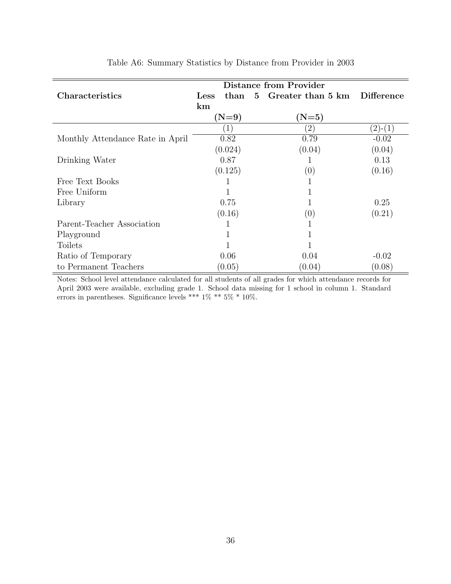|                                  |      |                  | <b>Distance from Provider</b> |                   |
|----------------------------------|------|------------------|-------------------------------|-------------------|
| Characteristics                  | Less | than             | 5 Greater than 5 km           | <b>Difference</b> |
|                                  | km   |                  |                               |                   |
|                                  |      | $(N=9)$          | $(N=5)$                       |                   |
|                                  |      | $\left(1\right)$ | $\left( 2\right)$             | $(2)-(1)$         |
| Monthly Attendance Rate in April |      | 0.82             | 0.79                          | $-0.02$           |
|                                  |      | (0.024)          | (0.04)                        | (0.04)            |
| Drinking Water                   |      | 0.87             |                               | 0.13              |
|                                  |      | (0.125)          | (0)                           | (0.16)            |
| Free Text Books                  |      | 1                | T                             |                   |
| Free Uniform                     |      |                  |                               |                   |
| Library                          |      | 0.75             |                               | 0.25              |
|                                  |      | (0.16)           | (0)                           | (0.21)            |
| Parent-Teacher Association       |      |                  |                               |                   |
| Playground                       |      | 1                | 1                             |                   |
| <b>Toilets</b>                   |      |                  |                               |                   |
| Ratio of Temporary               |      | 0.06             | 0.04                          | $-0.02$           |
| to Permanent Teachers            |      | (0.05)           | (0.04)                        | (0.08)            |

Table A6: Summary Statistics by Distance from Provider in 2003

Notes: School level attendance calculated for all students of all grades for which attendance records for April 2003 were available, excluding grade 1. School data missing for 1 school in column 1. Standard errors in parentheses. Significance levels \*\*\* 1% \*\* 5% \* 10%.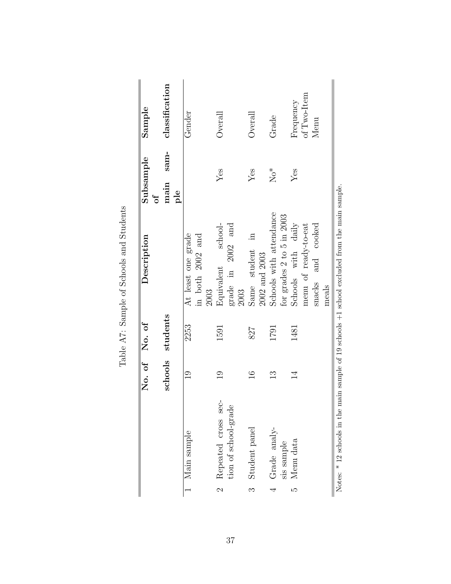| classification<br>of Two-Item<br>Frequency<br>$\bigcirc$ verall<br>$\operatorname{Gend}$<br>$\bigcirc$ verall<br>Grade<br>Menu<br>sam-<br>$N_0^*$<br>Yes<br>Yes<br>$Y$ es<br>main<br>ple<br>Schools with attendance<br>for grades $2$ to $5$ in $2003$<br>Schools with daily<br>menu of ready-to-eat<br>school-<br>grade in 2002 and<br>snacks and cooked<br>At least one grade<br>in both 2002 and<br>$\Xi$<br>Same student<br>$2002$ and $2003\,$<br>Equivalent<br>2003<br>meals<br>2003<br>schools students<br>2253<br>1591<br>1481<br>1791<br>827<br>$\frac{0}{1}$<br>$\frac{1}{1}$<br>$\mathbb{C}$<br>$\overline{1}$<br>$\frac{3}{1}$<br>Repeated cross sec-<br>tion of school-grade<br>Student panel<br>Grade analy-<br>1 Main sample<br>Menu data<br>sis sample<br>$\mathcal{C}$<br>LΩ<br>$\infty$<br>4 |  | No. of No. of | Description | Subsample<br>$\sigma$ | Sample |
|----------------------------------------------------------------------------------------------------------------------------------------------------------------------------------------------------------------------------------------------------------------------------------------------------------------------------------------------------------------------------------------------------------------------------------------------------------------------------------------------------------------------------------------------------------------------------------------------------------------------------------------------------------------------------------------------------------------------------------------------------------------------------------------------------------------|--|---------------|-------------|-----------------------|--------|
|                                                                                                                                                                                                                                                                                                                                                                                                                                                                                                                                                                                                                                                                                                                                                                                                                |  |               |             |                       |        |
|                                                                                                                                                                                                                                                                                                                                                                                                                                                                                                                                                                                                                                                                                                                                                                                                                |  |               |             |                       |        |
|                                                                                                                                                                                                                                                                                                                                                                                                                                                                                                                                                                                                                                                                                                                                                                                                                |  |               |             |                       |        |
|                                                                                                                                                                                                                                                                                                                                                                                                                                                                                                                                                                                                                                                                                                                                                                                                                |  |               |             |                       |        |
|                                                                                                                                                                                                                                                                                                                                                                                                                                                                                                                                                                                                                                                                                                                                                                                                                |  |               |             |                       |        |
|                                                                                                                                                                                                                                                                                                                                                                                                                                                                                                                                                                                                                                                                                                                                                                                                                |  |               |             |                       |        |
|                                                                                                                                                                                                                                                                                                                                                                                                                                                                                                                                                                                                                                                                                                                                                                                                                |  |               |             |                       |        |
|                                                                                                                                                                                                                                                                                                                                                                                                                                                                                                                                                                                                                                                                                                                                                                                                                |  |               |             |                       |        |
|                                                                                                                                                                                                                                                                                                                                                                                                                                                                                                                                                                                                                                                                                                                                                                                                                |  |               |             |                       |        |
|                                                                                                                                                                                                                                                                                                                                                                                                                                                                                                                                                                                                                                                                                                                                                                                                                |  |               |             |                       |        |
|                                                                                                                                                                                                                                                                                                                                                                                                                                                                                                                                                                                                                                                                                                                                                                                                                |  |               |             |                       |        |
|                                                                                                                                                                                                                                                                                                                                                                                                                                                                                                                                                                                                                                                                                                                                                                                                                |  |               |             |                       |        |
|                                                                                                                                                                                                                                                                                                                                                                                                                                                                                                                                                                                                                                                                                                                                                                                                                |  |               |             |                       |        |
|                                                                                                                                                                                                                                                                                                                                                                                                                                                                                                                                                                                                                                                                                                                                                                                                                |  |               |             |                       |        |
|                                                                                                                                                                                                                                                                                                                                                                                                                                                                                                                                                                                                                                                                                                                                                                                                                |  |               |             |                       |        |
|                                                                                                                                                                                                                                                                                                                                                                                                                                                                                                                                                                                                                                                                                                                                                                                                                |  |               |             |                       |        |

Table A7: Sample of Schools and Students Table A7: Sample of Schools and Students